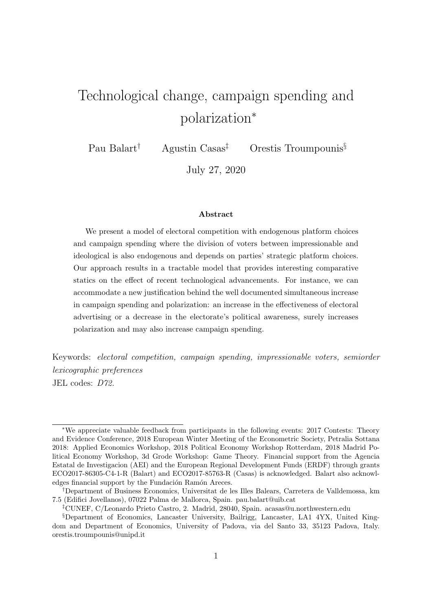# <span id="page-0-0"></span>Technological change, campaign spending and polarization<sup>∗</sup>

Pau Balart† Agustin Casas‡ Orestis Troumpounis§

July 27, 2020

#### Abstract

We present a model of electoral competition with endogenous platform choices and campaign spending where the division of voters between impressionable and ideological is also endogenous and depends on parties' strategic platform choices. Our approach results in a tractable model that provides interesting comparative statics on the effect of recent technological advancements. For instance, we can accommodate a new justification behind the well documented simultaneous increase in campaign spending and polarization: an increase in the effectiveness of electoral advertising or a decrease in the electorate's political awareness, surely increases polarization and may also increase campaign spending.

Keywords: electoral competition, campaign spending, impressionable voters, semiorder lexicographic preferences JEL codes: D72.

<sup>∗</sup>We appreciate valuable feedback from participants in the following events: 2017 Contests: Theory and Evidence Conference, 2018 European Winter Meeting of the Econometric Society, Petralia Sottana 2018: Applied Economics Workshop, 2018 Political Economy Workshop Rotterdam, 2018 Madrid Political Economy Workshop, 3d Grode Workshop: Game Theory. Financial support from the Agencia Estatal de Investigacion (AEI) and the European Regional Development Funds (ERDF) through grants ECO2017-86305-C4-1-R (Balart) and ECO2017-85763-R (Casas) is acknowledged. Balart also acknowledges financial support by the Fundación Ramón Areces.

<sup>†</sup>Department of Business Economics, Universitat de les Illes Balears, Carretera de Valldemossa, km 7.5 (Edifici Jovellanos), 07022 Palma de Mallorca, Spain. pau.balart@uib.cat

<sup>‡</sup>CUNEF, C/Leonardo Prieto Castro, 2. Madrid, 28040, Spain. acasas@u.northwestern.edu

<sup>§</sup>Department of Economics, Lancaster University, Bailrigg, Lancaster, LA1 4YX, United Kingdom and Department of Economics, University of Padova, via del Santo 33, 35123 Padova, Italy. orestis.troumpounis@unipd.it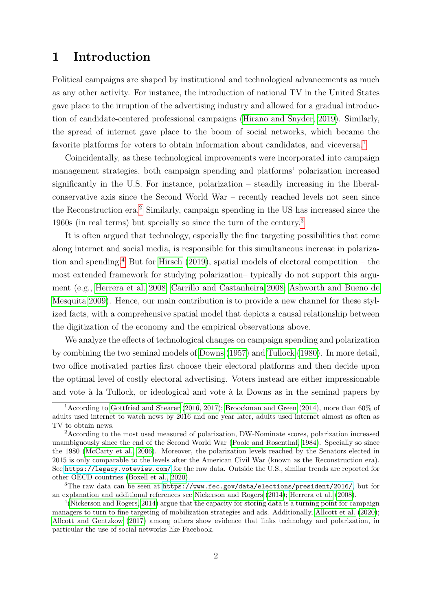## 1 Introduction

Political campaigns are shaped by institutional and technological advancements as much as any other activity. For instance, the introduction of national TV in the United States gave place to the irruption of the advertising industry and allowed for a gradual introduction of candidate-centered professional campaigns [\(Hirano and Snyder, 2019\)](#page-38-0). Similarly, the spread of internet gave place to the boom of social networks, which became the favorite platforms for voters to obtain information about candidates, and viceversa.<sup>[1](#page-0-0)</sup>

Coincidentally, as these technological improvements were incorporated into campaign management strategies, both campaign spending and platforms' polarization increased significantly in the U.S. For instance, polarization – steadily increasing in the liberalconservative axis since the Second World War – recently reached levels not seen since the Reconstruction era.[2](#page-0-0) Similarly, campaign spending in the US has increased since the 1960s (in real terms) but specially so since the turn of the century.[3](#page-0-0)

It is often argued that technology, especially the fine targeting possibilities that come along internet and social media, is responsible for this simultaneous increase in polariza-tion and spending.<sup>[4](#page-0-0)</sup> But for [Hirsch](#page-38-1) [\(2019\)](#page-38-1), spatial models of electoral competition – the most extended framework for studying polarization– typically do not support this argument (e.g., [Herrera et al. 2008;](#page-38-2) [Carrillo and Castanheira 2008;](#page-37-0) [Ashworth and Bueno de](#page-36-0) [Mesquita 2009\)](#page-36-0). Hence, our main contribution is to provide a new channel for these stylized facts, with a comprehensive spatial model that depicts a causal relationship between the digitization of the economy and the empirical observations above.

We analyze the effects of technological changes on campaign spending and polarization by combining the two seminal models of [Downs](#page-38-3) [\(1957\)](#page-38-3) and [Tullock](#page-40-0) [\(1980\)](#page-40-0). In more detail, two office motivated parties first choose their electoral platforms and then decide upon the optimal level of costly electoral advertising. Voters instead are either impressionable and vote à la Tullock, or ideological and vote à la Downs as in the seminal papers by

<sup>1</sup>According to [Gottfried and Shearer](#page-38-4) [\(2016,](#page-38-4) [2017\)](#page-38-5); [Broockman and Green](#page-37-1) [\(2014\)](#page-37-1), more than 60% of adults used internet to watch news by 2016 and one year later, adults used internet almost as often as TV to obtain news.

<sup>2</sup>According to the most used measured of polarization, DW-Nominate scores, polarization increased unambiguously since the end of the Second World War [\(Poole and Rosenthal, 1984\)](#page-40-1). Specially so since the 1980 [\(McCarty et al., 2006\)](#page-39-0). Moreover, the polarization levels reached by the Senators elected in 2015 is only comparable to the levels after the American Civil War (known as the Reconstruction era). See <https://legacy.voteview.com/> for the raw data. Outside the U.S., similar trends are reported for other OECD countries [\(Boxell et al., 2020\)](#page-37-2).

 $3$ The raw data can be seen at <https://www.fec.gov/data/elections/president/2016/>, but for an explanation and additional references see [Nickerson and Rogers](#page-39-1) [\(2014\)](#page-39-1); [Herrera et al.](#page-38-2) [\(2008\)](#page-38-2).

<sup>&</sup>lt;sup>4</sup> [\(Nickerson and Rogers, 2014\)](#page-39-1) argue that the capacity for storing data is a turning point for campaign managers to turn to fine targeting of mobilization strategies and ads. Additionally, [Allcott et al.](#page-36-1) [\(2020\)](#page-36-1); [Allcott and Gentzkow](#page-36-2) [\(2017\)](#page-36-2) among others show evidence that links technology and polarization, in particular the use of social networks like Facebook.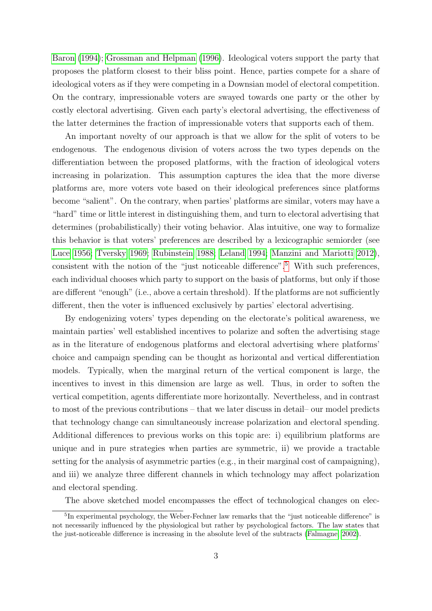[Baron](#page-37-3) [\(1994\)](#page-37-3); [Grossman and Helpman](#page-38-6) [\(1996\)](#page-38-6). Ideological voters support the party that proposes the platform closest to their bliss point. Hence, parties compete for a share of ideological voters as if they were competing in a Downsian model of electoral competition. On the contrary, impressionable voters are swayed towards one party or the other by costly electoral advertising. Given each party's electoral advertising, the effectiveness of the latter determines the fraction of impressionable voters that supports each of them.

An important novelty of our approach is that we allow for the split of voters to be endogenous. The endogenous division of voters across the two types depends on the differentiation between the proposed platforms, with the fraction of ideological voters increasing in polarization. This assumption captures the idea that the more diverse platforms are, more voters vote based on their ideological preferences since platforms become "salient". On the contrary, when parties' platforms are similar, voters may have a "hard" time or little interest in distinguishing them, and turn to electoral advertising that determines (probabilistically) their voting behavior. Alas intuitive, one way to formalize this behavior is that voters' preferences are described by a lexicographic semiorder (see [Luce 1956;](#page-39-2) [Tversky 1969;](#page-40-2) [Rubinstein 1988;](#page-40-3) [Leland 1994;](#page-39-3) [Manzini and Mariotti 2012\)](#page-39-4), consistent with the notion of the "just noticeable difference".[5](#page-0-0) With such preferences, each individual chooses which party to support on the basis of platforms, but only if those are different "enough" (i.e., above a certain threshold). If the platforms are not sufficiently different, then the voter is influenced exclusively by parties' electoral advertising.

By endogenizing voters' types depending on the electorate's political awareness, we maintain parties' well established incentives to polarize and soften the advertising stage as in the literature of endogenous platforms and electoral advertising where platforms' choice and campaign spending can be thought as horizontal and vertical differentiation models. Typically, when the marginal return of the vertical component is large, the incentives to invest in this dimension are large as well. Thus, in order to soften the vertical competition, agents differentiate more horizontally. Nevertheless, and in contrast to most of the previous contributions – that we later discuss in detail– our model predicts that technology change can simultaneously increase polarization and electoral spending. Additional differences to previous works on this topic are: i) equilibrium platforms are unique and in pure strategies when parties are symmetric, ii) we provide a tractable setting for the analysis of asymmetric parties (e.g., in their marginal cost of campaigning), and iii) we analyze three different channels in which technology may affect polarization and electoral spending.

The above sketched model encompasses the effect of technological changes on elec-

<sup>&</sup>lt;sup>5</sup>In experimental psychology, the Weber-Fechner law remarks that the "just noticeable difference" is not necessarily influenced by the physiological but rather by psychological factors. The law states that the just-noticeable difference is increasing in the absolute level of the subtracts [\(Falmagne, 2002\)](#page-38-7).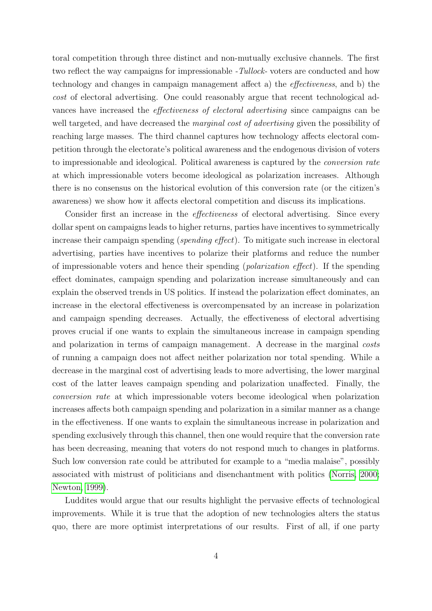toral competition through three distinct and non-mutually exclusive channels. The first two reflect the way campaigns for impressionable -Tullock- voters are conducted and how technology and changes in campaign management affect a) the effectiveness, and b) the cost of electoral advertising. One could reasonably argue that recent technological advances have increased the effectiveness of electoral advertising since campaigns can be well targeted, and have decreased the *marginal cost of advertising* given the possibility of reaching large masses. The third channel captures how technology affects electoral competition through the electorate's political awareness and the endogenous division of voters to impressionable and ideological. Political awareness is captured by the conversion rate at which impressionable voters become ideological as polarization increases. Although there is no consensus on the historical evolution of this conversion rate (or the citizen's awareness) we show how it affects electoral competition and discuss its implications.

Consider first an increase in the effectiveness of electoral advertising. Since every dollar spent on campaigns leads to higher returns, parties have incentives to symmetrically increase their campaign spending (spending effect). To mitigate such increase in electoral advertising, parties have incentives to polarize their platforms and reduce the number of impressionable voters and hence their spending (polarization effect). If the spending effect dominates, campaign spending and polarization increase simultaneously and can explain the observed trends in US politics. If instead the polarization effect dominates, an increase in the electoral effectiveness is overcompensated by an increase in polarization and campaign spending decreases. Actually, the effectiveness of electoral advertising proves crucial if one wants to explain the simultaneous increase in campaign spending and polarization in terms of campaign management. A decrease in the marginal costs of running a campaign does not affect neither polarization nor total spending. While a decrease in the marginal cost of advertising leads to more advertising, the lower marginal cost of the latter leaves campaign spending and polarization unaffected. Finally, the conversion rate at which impressionable voters become ideological when polarization increases affects both campaign spending and polarization in a similar manner as a change in the effectiveness. If one wants to explain the simultaneous increase in polarization and spending exclusively through this channel, then one would require that the conversion rate has been decreasing, meaning that voters do not respond much to changes in platforms. Such low conversion rate could be attributed for example to a "media malaise", possibly associated with mistrust of politicians and disenchantment with politics [\(Norris, 2000;](#page-40-4) [Newton, 1999\)](#page-39-5).

Luddites would argue that our results highlight the pervasive effects of technological improvements. While it is true that the adoption of new technologies alters the status quo, there are more optimist interpretations of our results. First of all, if one party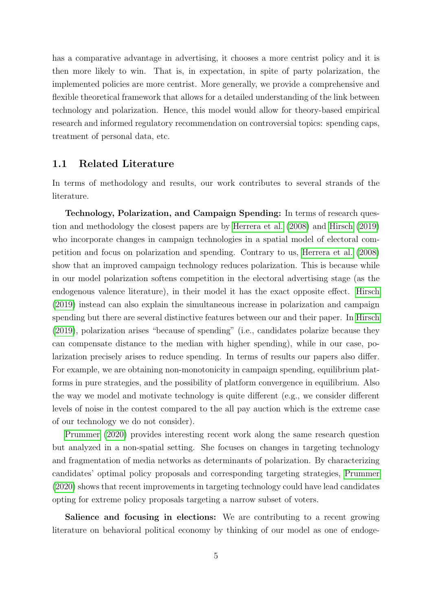has a comparative advantage in advertising, it chooses a more centrist policy and it is then more likely to win. That is, in expectation, in spite of party polarization, the implemented policies are more centrist. More generally, we provide a comprehensive and flexible theoretical framework that allows for a detailed understanding of the link between technology and polarization. Hence, this model would allow for theory-based empirical research and informed regulatory recommendation on controversial topics: spending caps, treatment of personal data, etc.

## 1.1 Related Literature

In terms of methodology and results, our work contributes to several strands of the literature.

Technology, Polarization, and Campaign Spending: In terms of research question and methodology the closest papers are by [Herrera et al.](#page-38-2) [\(2008\)](#page-38-2) and [Hirsch](#page-38-1) [\(2019\)](#page-38-1) who incorporate changes in campaign technologies in a spatial model of electoral competition and focus on polarization and spending. Contrary to us, [Herrera et al.](#page-38-2) [\(2008\)](#page-38-2) show that an improved campaign technology reduces polarization. This is because while in our model polarization softens competition in the electoral advertising stage (as the endogenous valence literature), in their model it has the exact opposite effect. [Hirsch](#page-38-1) [\(2019\)](#page-38-1) instead can also explain the simultaneous increase in polarization and campaign spending but there are several distinctive features between our and their paper. In [Hirsch](#page-38-1) [\(2019\)](#page-38-1), polarization arises "because of spending" (i.e., candidates polarize because they can compensate distance to the median with higher spending), while in our case, polarization precisely arises to reduce spending. In terms of results our papers also differ. For example, we are obtaining non-monotonicity in campaign spending, equilibrium platforms in pure strategies, and the possibility of platform convergence in equilibrium. Also the way we model and motivate technology is quite different (e.g., we consider different levels of noise in the contest compared to the all pay auction which is the extreme case of our technology we do not consider).

[Prummer](#page-40-5) [\(2020\)](#page-40-5) provides interesting recent work along the same research question but analyzed in a non-spatial setting. She focuses on changes in targeting technology and fragmentation of media networks as determinants of polarization. By characterizing candidates' optimal policy proposals and corresponding targeting strategies, [Prummer](#page-40-5) [\(2020\)](#page-40-5) shows that recent improvements in targeting technology could have lead candidates opting for extreme policy proposals targeting a narrow subset of voters.

Salience and focusing in elections: We are contributing to a recent growing literature on behavioral political economy by thinking of our model as one of endoge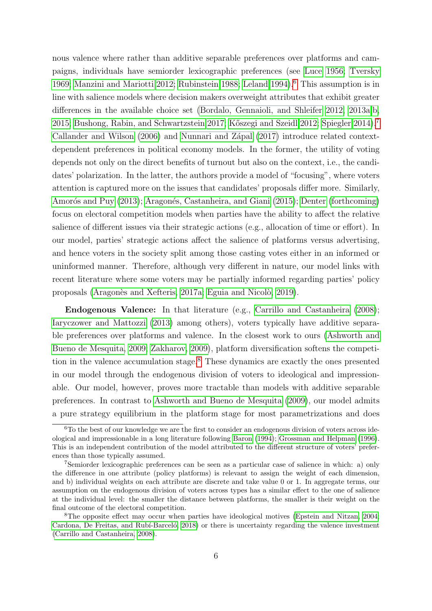nous valence where rather than additive separable preferences over platforms and campaigns, individuals have semiorder lexicographic preferences (see [Luce 1956;](#page-39-2) [Tversky](#page-40-2) [1969;](#page-40-2) [Manzini and Mariotti 2012;](#page-39-4) [Rubinstein 1988;](#page-40-3) [Leland 1994\)](#page-39-3).<sup>[6](#page-0-0)</sup> This assumption is in line with salience models where decision makers overweight attributes that exhibit greater differences in the available choice set [\(Bordalo, Gennaioli, and Shleifer 2012,](#page-37-4) [2013a,](#page-37-5)[b,](#page-37-6) [2015;](#page-37-7) [Bushong, Rabin, and Schwartzstein 2017;](#page-37-8) [K˝oszegi and Szeidl 2012;](#page-39-6) [Spiegler 2014\)](#page-40-6).[7](#page-0-0) [Callander and Wilson](#page-37-9) [\(2006\)](#page-37-9) and Nunnari and Zápal [\(2017\)](#page-40-7) introduce related contextdependent preferences in political economy models. In the former, the utility of voting depends not only on the direct benefits of turnout but also on the context, i.e., the candidates' polarization. In the latter, the authors provide a model of "focusing", where voters attention is captured more on the issues that candidates' proposals differ more. Similarly, Amorós and Puy [\(2013\)](#page-36-3); Aragonés, Castanheira, and Giani [\(2015\)](#page-36-4); [Denter](#page-38-8) [\(forthcoming\)](#page-38-8) focus on electoral competition models when parties have the ability to affect the relative salience of different issues via their strategic actions (e.g., allocation of time or effort). In our model, parties' strategic actions affect the salience of platforms versus advertising, and hence voters in the society split among those casting votes either in an informed or uninformed manner. Therefore, although very different in nature, our model links with recent literature where some voters may be partially informed regarding parties' policy proposals (Aragonès and Xefteris, 2017a; Eguia and Nicolò, 2019).

Endogenous Valence: In that literature (e.g., [Carrillo and Castanheira](#page-37-0) [\(2008\)](#page-37-0); [Iaryczower and Mattozzi](#page-38-10) [\(2013\)](#page-38-10) among others), voters typically have additive separable preferences over platforms and valence. In the closest work to ours [\(Ashworth and](#page-36-0) [Bueno de Mesquita, 2009;](#page-36-0) [Zakharov, 2009\)](#page-41-0), platform diversification softens the competition in the valence accumulation stage.[8](#page-0-0) These dynamics are exactly the ones presented in our model through the endogenous division of voters to ideological and impressionable. Our model, however, proves more tractable than models with additive separable preferences. In contrast to [Ashworth and Bueno de Mesquita](#page-36-0) [\(2009\)](#page-36-0), our model admits a pure strategy equilibrium in the platform stage for most parametrizations and does

 $6T<sub>0</sub>$  the best of our knowledge we are the first to consider an endogenous division of voters across ideological and impressionable in a long literature following [Baron](#page-37-3) [\(1994\)](#page-37-3); [Grossman and Helpman](#page-38-6) [\(1996\)](#page-38-6). This is an independent contribution of the model attributed to the different structure of voters' preferences than those typically assumed.

<sup>7</sup>Semiorder lexicographic preferences can be seen as a particular case of salience in which: a) only the difference in one attribute (policy platforms) is relevant to assign the weight of each dimension, and b) individual weights on each attribute are discrete and take value 0 or 1. In aggregate terms, our assumption on the endogenous division of voters across types has a similar effect to the one of salience at the individual level: the smaller the distance between platforms, the smaller is their weight on the final outcome of the electoral competition.

<sup>8</sup>The opposite effect may occur when parties have ideological motives [\(Epstein and Nitzan, 2004;](#page-38-11) Cardona, De Freitas, and Rubí-Barceló, 2018) or there is uncertainty regarding the valence investment [\(Carrillo and Castanheira, 2008\)](#page-37-0).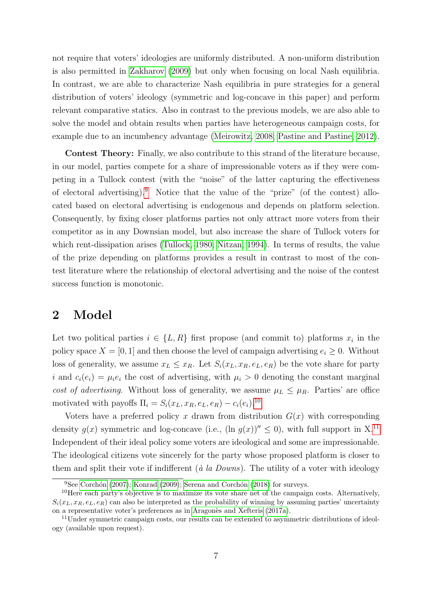not require that voters' ideologies are uniformly distributed. A non-uniform distribution is also permitted in [Zakharov](#page-41-0) [\(2009\)](#page-41-0) but only when focusing on local Nash equilibria. In contrast, we are able to characterize Nash equilibria in pure strategies for a general distribution of voters' ideology (symmetric and log-concave in this paper) and perform relevant comparative statics. Also in contrast to the previous models, we are also able to solve the model and obtain results when parties have heterogeneous campaign costs, for example due to an incumbency advantage [\(Meirowitz, 2008;](#page-39-7) [Pastine and Pastine, 2012\)](#page-40-8).

Contest Theory: Finally, we also contribute to this strand of the literature because, in our model, parties compete for a share of impressionable voters as if they were competing in a Tullock contest (with the "noise" of the latter capturing the effectiveness of electoral advertising).[9](#page-0-0) Notice that the value of the "prize" (of the contest) allocated based on electoral advertising is endogenous and depends on platform selection. Consequently, by fixing closer platforms parties not only attract more voters from their competitor as in any Downsian model, but also increase the share of Tullock voters for which rent-dissipation arises [\(Tullock, 1980;](#page-40-0) [Nitzan, 1994\)](#page-40-9). In terms of results, the value of the prize depending on platforms provides a result in contrast to most of the contest literature where the relationship of electoral advertising and the noise of the contest success function is monotonic.

## 2 Model

Let two political parties  $i \in \{L, R\}$  first propose (and commit to) platforms  $x_i$  in the policy space  $X = [0, 1]$  and then choose the level of campaign advertising  $e_i \geq 0$ . Without loss of generality, we assume  $x_L \leq x_R$ . Let  $S_i(x_L, x_R, e_L, e_R)$  be the vote share for party i and  $c_i(e_i) = \mu_i e_i$  the cost of advertising, with  $\mu_i > 0$  denoting the constant marginal cost of advertising. Without loss of generality, we assume  $\mu_L \leq \mu_R$ . Parties' are office motivated with payoffs  $\Pi_i = S_i(x_L, x_R, e_L, e_R) - c_i(e_i).$ <sup>[10](#page-0-0)</sup>

Voters have a preferred policy x drawn from distribution  $G(x)$  with corresponding density  $q(x)$  symmetric and log-concave (i.e.,  $(\ln q(x))^{\prime\prime} < 0$ ), with full support in X.<sup>[11](#page-0-0)</sup> Independent of their ideal policy some voters are ideological and some are impressionable. The ideological citizens vote sincerely for the party whose proposed platform is closer to them and split their vote if indifferent ( $\dot{a}$  la Downs). The utility of a voter with ideology

<sup>&</sup>lt;sup>9</sup>See Corchón [\(2007\)](#page-37-11); [Konrad](#page-39-8) [\(2009\)](#page-39-8); Serena and Corchón [\(2018\)](#page-40-10) for surveys.

 $10$ Here each party's objective is to maximize its vote share net of the campaign costs. Alternatively,  $S_i(x_L, x_R, e_L, e_R)$  can also be interpreted as the probability of winning by assuming parties' uncertainty on a representative voter's preferences as in Aragonès and Xefteris [\(2017a\)](#page-36-5).

<sup>&</sup>lt;sup>11</sup>Under symmetric campaign costs, our results can be extended to asymmetric distributions of ideology (available upon request).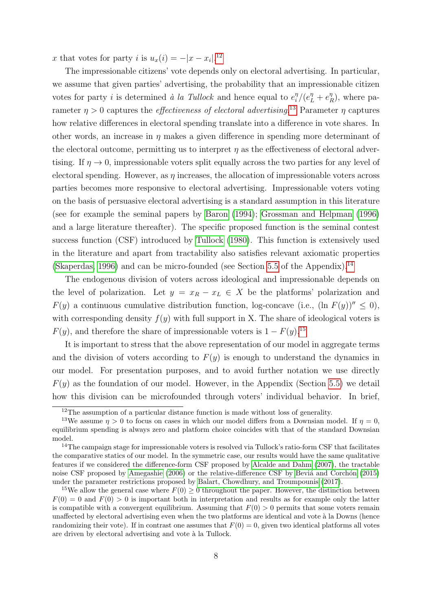x that votes for party i is  $u_x(i) = -|x - x_i|^{12}$  $u_x(i) = -|x - x_i|^{12}$  $u_x(i) = -|x - x_i|^{12}$ 

The impressionable citizens' vote depends only on electoral advertising. In particular, we assume that given parties' advertising, the probability that an impressionable citizen votes for party *i* is determined à la Tullock and hence equal to  $e_i^{\eta}$  $\frac{\eta}{i}/(e_L^{\eta}+e_I^{\eta})$  $\binom{\eta}{R}$ , where parameter  $\eta > 0$  captures the *effectiveness of electoral advertising*.<sup>[13](#page-0-0)</sup> Parameter  $\eta$  captures how relative differences in electoral spending translate into a difference in vote shares. In other words, an increase in  $\eta$  makes a given difference in spending more determinant of the electoral outcome, permitting us to interpret  $\eta$  as the effectiveness of electoral advertising. If  $\eta \to 0$ , impressionable voters split equally across the two parties for any level of electoral spending. However, as  $\eta$  increases, the allocation of impressionable voters across parties becomes more responsive to electoral advertising. Impressionable voters voting on the basis of persuasive electoral advertising is a standard assumption in this literature (see for example the seminal papers by [Baron](#page-37-3) [\(1994\)](#page-37-3); [Grossman and Helpman](#page-38-6) [\(1996\)](#page-38-6) and a large literature thereafter). The specific proposed function is the seminal contest success function (CSF) introduced by [Tullock](#page-40-0) [\(1980\)](#page-40-0). This function is extensively used in the literature and apart from tractability also satisfies relevant axiomatic properties [\(Skaperdas, 1996\)](#page-40-11) and can be micro-founded (see Section [5.5](#page-33-0) of the Appendix).<sup>[14](#page-0-0)</sup>

The endogenous division of voters across ideological and impressionable depends on the level of polarization. Let  $y = x_R - x_L \in X$  be the platforms' polarization and  $F(y)$  a continuous cumulative distribution function, log-concave (i.e.,  $(\ln F(y))^{\prime\prime} \leq 0$ ), with corresponding density  $f(y)$  with full support in X. The share of ideological voters is  $F(y)$ , and therefore the share of impressionable voters is  $1 - F(y)$ .<sup>[15](#page-0-0)</sup>

It is important to stress that the above representation of our model in aggregate terms and the division of voters according to  $F(y)$  is enough to understand the dynamics in our model. For presentation purposes, and to avoid further notation we use directly  $F(y)$  as the foundation of our model. However, in the Appendix (Section [5.5\)](#page-33-0) we detail how this division can be microfounded through voters' individual behavior. In brief,

<sup>&</sup>lt;sup>12</sup>The assumption of a particular distance function is made without loss of generality.

<sup>&</sup>lt;sup>13</sup>We assume  $\eta > 0$  to focus on cases in which our model differs from a Downsian model. If  $\eta = 0$ , equilibrium spending is always zero and platform choice coincides with that of the standard Downsian model.

<sup>14</sup>The campaign stage for impressionable voters is resolved via Tullock's ratio-form CSF that facilitates the comparative statics of our model. In the symmetric case, our results would have the same qualitative features if we considered the difference-form CSF proposed by [Alcalde and Dahm](#page-36-6) [\(2007\)](#page-36-6), the tractable noise CSF proposed by [Amegashie](#page-36-7) [\(2006\)](#page-36-7) or the relative-difference CSF by Beviá and Corchón [\(2015\)](#page-37-12) under the parameter restrictions proposed by [Balart, Chowdhury, and Troumpounis](#page-36-8) [\(2017\)](#page-36-8).

<sup>&</sup>lt;sup>15</sup>We allow the general case where  $F(0) \ge 0$  throughout the paper. However, the distinction between  $F(0) = 0$  and  $F(0) > 0$  is important both in interpretation and results as for example only the latter is compatible with a convergent equilibrium. Assuming that  $F(0) > 0$  permits that some voters remain unaffected by electoral advertising even when the two platforms are identical and vote à la Downs (hence randomizing their vote). If in contrast one assumes that  $F(0) = 0$ , given two identical platforms all votes are driven by electoral advertising and vote à la Tullock.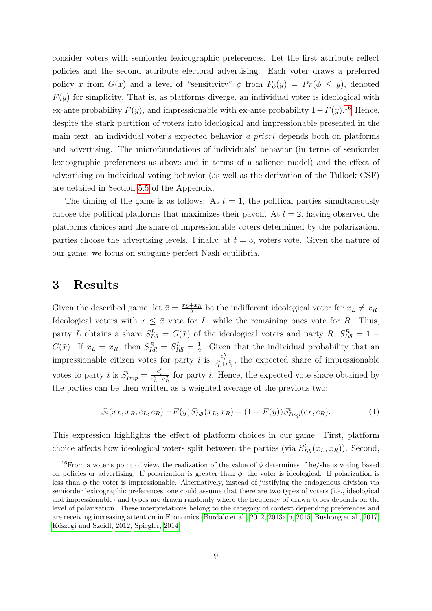consider voters with semiorder lexicographic preferences. Let the first attribute reflect policies and the second attribute electoral advertising. Each voter draws a preferred policy x from  $G(x)$  and a level of "sensitivity"  $\phi$  from  $F_{\phi}(y) = Pr(\phi \le y)$ , denoted  $F(y)$  for simplicity. That is, as platforms diverge, an individual voter is ideological with ex-ante probability  $F(y)$ , and impressionable with ex-ante probability  $1-F(y)$ .<sup>[16](#page-0-0)</sup> Hence, despite the stark partition of voters into ideological and impressionable presented in the main text, an individual voter's expected behavior a priori depends both on platforms and advertising. The microfoundations of individuals' behavior (in terms of semiorder lexicographic preferences as above and in terms of a salience model) and the effect of advertising on individual voting behavior (as well as the derivation of the Tullock CSF) are detailed in Section [5.5](#page-33-0) of the Appendix.

The timing of the game is as follows: At  $t = 1$ , the political parties simultaneously choose the political platforms that maximizes their payoff. At  $t = 2$ , having observed the platforms choices and the share of impressionable voters determined by the polarization, parties choose the advertising levels. Finally, at  $t = 3$ , voters vote. Given the nature of our game, we focus on subgame perfect Nash equilibria.

## 3 Results

Given the described game, let  $\bar{x} = \frac{x_L + x_R}{2}$  $\frac{1+x_R}{2}$  be the indifferent ideological voter for  $x_L \neq x_R$ . Ideological voters with  $x \leq \bar{x}$  vote for L, while the remaining ones vote for R. Thus, party L obtains a share  $S_{Idl}^L = G(\bar{x})$  of the ideological voters and party R,  $S_{Idl}^R = 1 G(\bar{x})$ . If  $x_L = x_R$ , then  $S_{Idl}^R = S_{Idl}^L = \frac{1}{2}$  $\frac{1}{2}$ . Given that the individual probability that an impressionable citizen votes for party *i* is  $\frac{e_i^{\eta}}{e_L^{\eta}+e_R^{\eta}}$ , the expected share of impressionable votes to party *i* is  $S_{Imp}^i = \frac{e_i^{\eta}}{e_L^{\eta} + e_R^{\eta}}$  for party *i*. Hence, the expected vote share obtained by the parties can be then written as a weighted average of the previous two:

<span id="page-8-0"></span>
$$
S_i(x_L, x_R, e_L, e_R) = F(y)S_{Id}^i(x_L, x_R) + (1 - F(y))S_{Imp}^i(e_L, e_R).
$$
 (1)

This expression highlights the effect of platform choices in our game. First, platform choice affects how ideological voters split between the parties (via  $S^i_{Id}(x_L, x_R)$ ). Second,

<sup>&</sup>lt;sup>16</sup>From a voter's point of view, the realization of the value of  $\phi$  determines if he/she is voting based on policies or advertising. If polarization is greater than  $\phi$ , the voter is ideological. If polarization is less than  $\phi$  the voter is impressionable. Alternatively, instead of justifying the endogenous division via semiorder lexicographic preferences, one could assume that there are two types of voters (i.e., ideological and impressionable) and types are drawn randomly where the frequency of drawn types depends on the level of polarization. These interpretations belong to the category of context depending preferences and are receiving increasing attention in Economics [\(Bordalo et al., 2012,](#page-37-4) [2013a,](#page-37-5)[b,](#page-37-6) [2015;](#page-37-7) [Bushong et al., 2017;](#page-37-8) Kőszegi and Szeidl, 2012; [Spiegler, 2014\)](#page-40-6).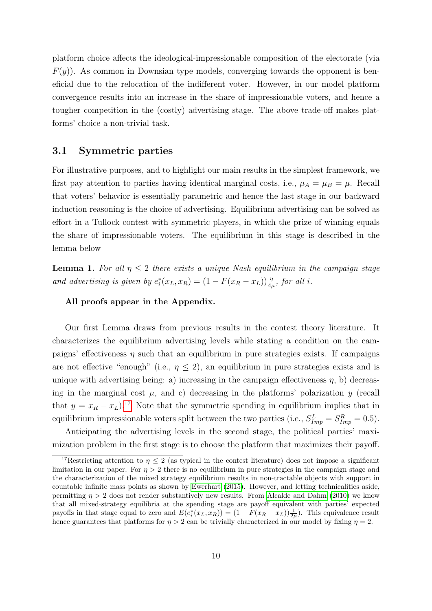platform choice affects the ideological-impressionable composition of the electorate (via  $F(y)$ ). As common in Downsian type models, converging towards the opponent is beneficial due to the relocation of the indifferent voter. However, in our model platform convergence results into an increase in the share of impressionable voters, and hence a tougher competition in the (costly) advertising stage. The above trade-off makes platforms' choice a non-trivial task.

### 3.1 Symmetric parties

For illustrative purposes, and to highlight our main results in the simplest framework, we first pay attention to parties having identical marginal costs, i.e.,  $\mu_A = \mu_B = \mu$ . Recall that voters' behavior is essentially parametric and hence the last stage in our backward induction reasoning is the choice of advertising. Equilibrium advertising can be solved as effort in a Tullock contest with symmetric players, in which the prize of winning equals the share of impressionable voters. The equilibrium in this stage is described in the lemma below

<span id="page-9-0"></span>**Lemma 1.** For all  $\eta \leq 2$  there exists a unique Nash equilibrium in the campaign stage and advertising is given by  $e_i^*(x_L, x_R) = (1 - F(x_R - x_L)) \frac{\eta}{4\mu}$ , for all i.

#### All proofs appear in the Appendix.

Our first Lemma draws from previous results in the contest theory literature. It characterizes the equilibrium advertising levels while stating a condition on the campaigns' effectiveness  $\eta$  such that an equilibrium in pure strategies exists. If campaigns are not effective "enough" (i.e.,  $\eta \leq 2$ ), an equilibrium in pure strategies exists and is unique with advertising being: a) increasing in the campaign effectiveness  $\eta$ , b) decreasing in the marginal cost  $\mu$ , and c) decreasing in the platforms' polarization  $y$  (recall that  $y = x_R - x_L$ .<sup>[17](#page-0-0)</sup> Note that the symmetric spending in equilibrium implies that in equilibrium impressionable voters split between the two parties (i.e.,  $S_{Imp}^L = S_{Imp}^R = 0.5$ ).

Anticipating the advertising levels in the second stage, the political parties' maximization problem in the first stage is to choose the platform that maximizes their payoff.

<sup>&</sup>lt;sup>17</sup>Restricting attention to  $\eta \leq 2$  (as typical in the contest literature) does not impose a significant limitation in our paper. For  $\eta > 2$  there is no equilibrium in pure strategies in the campaign stage and the characterization of the mixed strategy equilibrium results in non-tractable objects with support in countable infinite mass points as shown by [Ewerhart](#page-38-12) [\(2015\)](#page-38-12). However, and letting technicalities aside, permitting  $\eta > 2$  does not render substantively new results. From [Alcalde and Dahm](#page-36-9) [\(2010\)](#page-36-9) we know that all mixed-strategy equilibria at the spending stage are payoff equivalent with parties' expected payoffs in that stage equal to zero and  $E(e_i^*(x_L, x_R)) = (1 - F(x_R - x_L))\frac{1}{2\mu})$ . This equivalence result hence guarantees that platforms for  $\eta > 2$  can be trivially characterized in our model by fixing  $\eta = 2$ .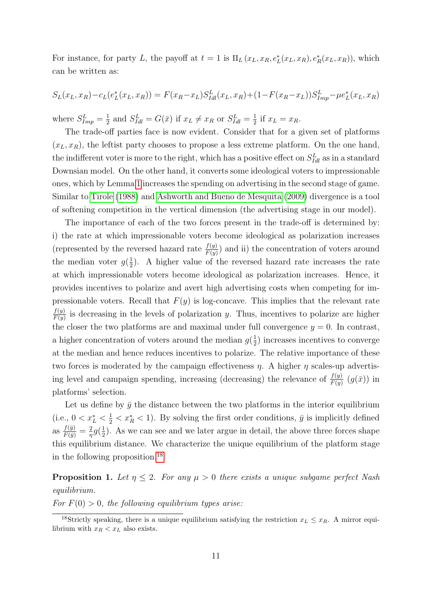For instance, for party L, the payoff at  $t = 1$  is  $\Pi_L(x_L, x_R, e_L^*(x_L, x_R), e_R^*(x_L, x_R))$ , which can be written as:

$$
S_L(x_L, x_R) - c_L(e_L^*(x_L, x_R)) = F(x_R - x_L)S_{Id}^L(x_L, x_R) + (1 - F(x_R - x_L))S_{Imp}^L - \mu e_L^*(x_L, x_R)
$$

where  $S_{Imp}^L = \frac{1}{2}$  $\frac{1}{2}$  and  $S_{Idl}^L = G(\bar{x})$  if  $x_L \neq x_R$  or  $S_{Idl}^L = \frac{1}{2}$  $rac{1}{2}$  if  $x_L = x_R$ .

The trade-off parties face is now evident. Consider that for a given set of platforms  $(x_L, x_R)$ , the leftist party chooses to propose a less extreme platform. On the one hand, the indifferent voter is more to the right, which has a positive effect on  $S_{Id}^L$  as in a standard Downsian model. On the other hand, it converts some ideological voters to impressionable ones, which by Lemma [1](#page-9-0) increases the spending on advertising in the second stage of game. Similar to [Tirole](#page-40-12) [\(1988\)](#page-40-12) and [Ashworth and Bueno de Mesquita](#page-36-0) [\(2009\)](#page-36-0) divergence is a tool of softening competition in the vertical dimension (the advertising stage in our model).

The importance of each of the two forces present in the trade-off is determined by: i) the rate at which impressionable voters become ideological as polarization increases (represented by the reversed hazard rate  $\frac{f(y)}{F(y)}$ ) and ii) the concentration of voters around the median voter  $g(\frac{1}{2})$  $\frac{1}{2}$ ). A higher value of the reversed hazard rate increases the rate at which impressionable voters become ideological as polarization increases. Hence, it provides incentives to polarize and avert high advertising costs when competing for impressionable voters. Recall that  $F(y)$  is log-concave. This implies that the relevant rate  $f(y)$  $\frac{f(y)}{F(y)}$  is decreasing in the levels of polarization y. Thus, incentives to polarize are higher the closer the two platforms are and maximal under full convergence  $y = 0$ . In contrast, a higher concentration of voters around the median  $g(\frac{1}{2})$  $\frac{1}{2}$ ) increases incentives to converge at the median and hence reduces incentives to polarize. The relative importance of these two forces is moderated by the campaign effectiveness  $\eta$ . A higher  $\eta$  scales-up advertising level and campaign spending, increasing (decreasing) the relevance of  $\frac{f(y)}{F(y)}(g(\bar{x}))$  in platforms' selection.

Let us define by  $\bar{y}$  the distance between the two platforms in the interior equilibrium (i.e.,  $0 < x_L^* < \frac{1}{2} < x_R^* < 1$ ). By solving the first order conditions,  $\bar{y}$  is implicitly defined as  $\frac{f(\bar{y})}{F(\bar{y})} = \frac{2}{\eta}$  $rac{2}{\eta}g(\frac{1}{2})$  $\frac{1}{2}$ ). As we can see and we later argue in detail, the above three forces shape this equilibrium distance. We characterize the unique equilibrium of the platform stage in the following proposition.[18](#page-0-0)

<span id="page-10-0"></span>**Proposition 1.** Let  $\eta \leq 2$ . For any  $\mu > 0$  there exists a unique subgame perfect Nash equilibrium.

For  $F(0) > 0$ , the following equilibrium types arise:

<sup>&</sup>lt;sup>18</sup>Strictly speaking, there is a unique equilibrium satisfying the restriction  $x_L \leq x_R$ . A mirror equilibrium with  $x_R < x_L$  also exists.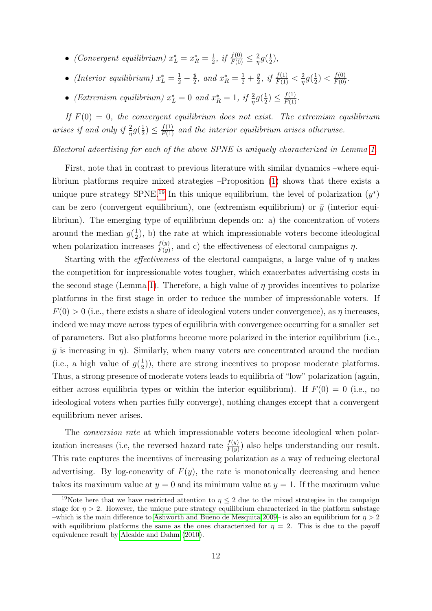- (Convergent equilibrium)  $x_L^* = x_R^* = \frac{1}{2}$  $rac{1}{2}$ , if  $rac{f(0)}{F(0)} \leq \frac{2}{\eta}$  $rac{2}{\eta}g(\frac{1}{2})$  $(\frac{1}{2}),$
- (Interior equilibrium)  $x_L^* = \frac{1}{2} \frac{\bar{y}}{2}$  $\frac{\bar{y}}{2}$ , and  $x_R^* = \frac{1}{2} + \frac{\bar{y}}{2}$  $\frac{\bar{y}}{2}$ , if  $\frac{f(1)}{F(1)} < \frac{2}{\eta}$  $rac{2}{\eta}g(\frac{1}{2})$  $(\frac{1}{2}) < \frac{f(0)}{F(0)}$ .
- (Extremism equilibrium)  $x_L^* = 0$  and  $x_R^* = 1$ , if  $\frac{2}{\eta}g(\frac{1}{2})$  $(\frac{1}{2}) \leq \frac{f(1)}{F(1)}$ .

If  $F(0) = 0$ , the convergent equilibrium does not exist. The extremism equilibrium arises if and only if  $\frac{2}{\eta}g(\frac{1}{2})$  $\frac{1}{2}$ )  $\leq \frac{f(1)}{F(1)}$  and the interior equilibrium arises otherwise.

#### Electoral advertising for each of the above SPNE is uniquely characterized in Lemma [1.](#page-9-0)

First, note that in contrast to previous literature with similar dynamics –where equilibrium platforms require mixed strategies –Proposition [\(1\)](#page-10-0) shows that there exists a unique pure strategy SPNE.<sup>[19](#page-0-0)</sup> In this unique equilibrium, the level of polarization  $(y^*)$ can be zero (convergent equilibrium), one (extremism equilibrium) or  $\bar{y}$  (interior equilibrium). The emerging type of equilibrium depends on: a) the concentration of voters around the median  $g(\frac{1}{2})$  $(\frac{1}{2})$ , b) the rate at which impressionable voters become ideological when polarization increases  $\frac{f(y)}{F(y)}$ , and c) the effectiveness of electoral campaigns  $\eta$ .

Starting with the *effectiveness* of the electoral campaigns, a large value of  $\eta$  makes the competition for impressionable votes tougher, which exacerbates advertising costs in the second stage (Lemma [1\)](#page-9-0). Therefore, a high value of  $\eta$  provides incentives to polarize platforms in the first stage in order to reduce the number of impressionable voters. If  $F(0) > 0$  (i.e., there exists a share of ideological voters under convergence), as  $\eta$  increases, indeed we may move across types of equilibria with convergence occurring for a smaller set of parameters. But also platforms become more polarized in the interior equilibrium (i.e.,  $\bar{y}$  is increasing in  $\eta$ ). Similarly, when many voters are concentrated around the median (i.e., a high value of  $g(\frac{1}{2})$  $(\frac{1}{2})$ , there are strong incentives to propose moderate platforms. Thus, a strong presence of moderate voters leads to equilibria of "low" polarization (again, either across equilibria types or within the interior equilibrium). If  $F(0) = 0$  (i.e., no ideological voters when parties fully converge), nothing changes except that a convergent equilibrium never arises.

The *conversion rate* at which impressionable voters become ideological when polarization increases (i.e, the reversed hazard rate  $\frac{f(y)}{F(y)}$ ) also helps understanding our result. This rate captures the incentives of increasing polarization as a way of reducing electoral advertising. By log-concavity of  $F(y)$ , the rate is monotonically decreasing and hence takes its maximum value at  $y = 0$  and its minimum value at  $y = 1$ . If the maximum value

<sup>&</sup>lt;sup>19</sup>Note here that we have restricted attention to  $\eta \leq 2$  due to the mixed strategies in the campaign stage for  $\eta > 2$ . However, the unique pure strategy equilibrium characterized in the platform substage –which is the main difference to [Ashworth and Bueno de Mesquita 2009–](#page-36-0) is also an equilibrium for  $\eta > 2$ with equilibrium platforms the same as the ones characterized for  $\eta = 2$ . This is due to the payoff equivalence result by [Alcalde and Dahm](#page-36-9) [\(2010\)](#page-36-9).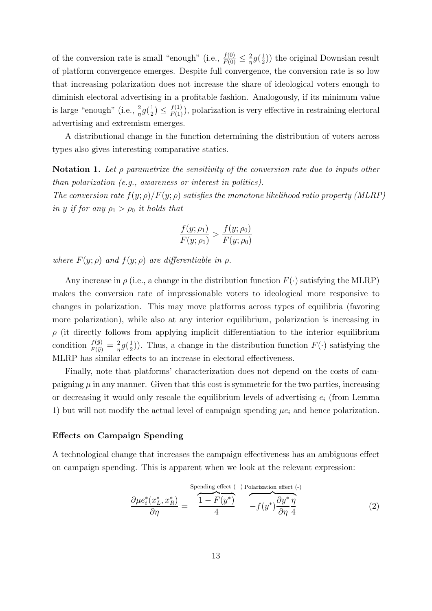of the conversion rate is small "enough" (i.e.,  $\frac{f(0)}{F(0)} \leq \frac{2}{\eta}$  $rac{2}{\eta}g(\frac{1}{2})$  $(\frac{1}{2})$  the original Downsian result of platform convergence emerges. Despite full convergence, the conversion rate is so low that increasing polarization does not increase the share of ideological voters enough to diminish electoral advertising in a profitable fashion. Analogously, if its minimum value is large "enough" (i.e.,  $\frac{2}{\eta}g(\frac{1}{2})$  $(\frac{1}{2}) \leq \frac{f(1)}{F(1)}$ , polarization is very effective in restraining electoral advertising and extremism emerges.

A distributional change in the function determining the distribution of voters across types also gives interesting comparative statics.

Notation 1. Let  $\rho$  parametrize the sensitivity of the conversion rate due to inputs other than polarization (e.g., awareness or interest in politics).

The conversion rate  $f(y; \rho)/F(y; \rho)$  satisfies the monotone likelihood ratio property (MLRP) in y if for any  $\rho_1 > \rho_0$  it holds that

$$
\frac{f(y; \rho_1)}{F(y; \rho_1)} > \frac{f(y; \rho_0)}{F(y; \rho_0)}
$$

where  $F(y; \rho)$  and  $f(y; \rho)$  are differentiable in  $\rho$ .

Any increase in  $\rho$  (i.e., a change in the distribution function  $F(\cdot)$  satisfying the MLRP) makes the conversion rate of impressionable voters to ideological more responsive to changes in polarization. This may move platforms across types of equilibria (favoring more polarization), while also at any interior equilibrium, polarization is increasing in  $\rho$  (it directly follows from applying implicit differentiation to the interior equilibrium condition  $\frac{f(\bar{y})}{F(\bar{y})} = \frac{2}{\eta}$  $rac{2}{\eta}g(\frac{1}{2})$  $(\frac{1}{2})$ ). Thus, a change in the distribution function  $F(\cdot)$  satisfying the MLRP has similar effects to an increase in electoral effectiveness.

Finally, note that platforms' characterization does not depend on the costs of campaigning  $\mu$  in any manner. Given that this cost is symmetric for the two parties, increasing or decreasing it would only rescale the equilibrium levels of advertising  $e_i$  (from Lemma 1) but will not modify the actual level of campaign spending  $\mu_{e_i}$  and hence polarization.

#### Effects on Campaign Spending

A technological change that increases the campaign effectiveness has an ambiguous effect on campaign spending. This is apparent when we look at the relevant expression:

$$
\frac{\partial \mu e_i^*(x_L^*, x_R^*)}{\partial \eta} = \frac{\overbrace{1 - F(y^*)}^{\text{Spending effect (+) Polarization effect (-)}} - f(y^*) \overbrace{\partial \eta}^{\partial y^*} \frac{\eta}{4}}{-f(y^*) \overbrace{\partial \eta}^{\partial y^*} \eta}
$$
(2)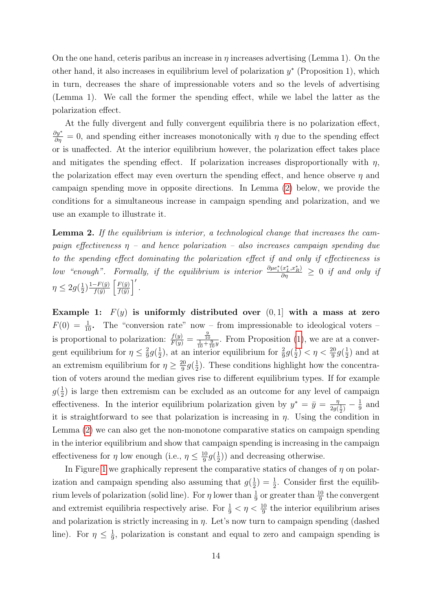On the one hand, ceteris paribus an increase in  $\eta$  increases advertising (Lemma 1). On the other hand, it also increases in equilibrium level of polarization  $y^*$  (Proposition 1), which in turn, decreases the share of impressionable voters and so the levels of advertising (Lemma 1). We call the former the spending effect, while we label the latter as the polarization effect.

At the fully divergent and fully convergent equilibria there is no polarization effect,  $\frac{\partial y^*}{\partial \eta} = 0$ , and spending either increases monotonically with  $\eta$  due to the spending effect or is unaffected. At the interior equilibrium however, the polarization effect takes place and mitigates the spending effect. If polarization increases disproportionally with  $\eta$ , the polarization effect may even overturn the spending effect, and hence observe  $\eta$  and campaign spending move in opposite directions. In Lemma [\(2\)](#page-13-0) below, we provide the conditions for a simultaneous increase in campaign spending and polarization, and we use an example to illustrate it.

<span id="page-13-0"></span>**Lemma 2.** If the equilibrium is interior, a technological change that increases the campaign effectiveness  $\eta$  – and hence polarization – also increases campaign spending due to the spending effect dominating the polarization effect if and only if effectiveness is low "enough". Formally, if the equilibrium is interior  $\frac{\partial \mu e_i^*(x_L^*, x_R^*)}{\partial \eta} \geq 0$  if and only if  $\eta \leq 2g(\frac{1}{2})$  $\frac{1}{2}$  $\frac{1-F(\bar{y})}{f(\bar{y})}$  $\frac{-F(\bar{y})}{f(\bar{y})}\left[\frac{F(\bar{y})}{f(\bar{y})}\right]$  $\frac{F(\bar{y})}{f(\bar{y})}$ .

Example 1:  $F(y)$  is uniformly distributed over  $(0, 1]$  with a mass at zero  $F(0) = \frac{1}{10}$ . The "conversion rate" now – from impressionable to ideological voters – is proportional to polarization:  $\frac{f(y)}{F(y)} = \frac{\frac{9}{10}}{\frac{1}{10} + \frac{9}{10}y}$ . From Proposition [\(1\)](#page-10-0), we are at a convergent equilibrium for  $\eta \leq \frac{2}{9}$  $rac{2}{9}g(\frac{1}{2})$  $\frac{1}{2}$ ), at an interior equilibrium for  $\frac{2}{9}g(\frac{1}{2})$  $(\frac{1}{2}) < \eta < \frac{20}{9}g(\frac{1}{2})$  $(\frac{1}{2})$  and at an extremism equilibrium for  $\eta \geq \frac{20}{9}$  $\frac{20}{9}g(\frac{1}{2})$  $\frac{1}{2}$ ). These conditions highlight how the concentration of voters around the median gives rise to different equilibrium types. If for example  $g(\frac{1}{2})$  $\frac{1}{2}$ ) is large then extremism can be excluded as an outcome for any level of campaign effectiveness. In the interior equilibrium polarization given by  $y^* = \bar{y} = \frac{\eta}{2\alpha}$  $\frac{\eta}{2g(\frac{1}{2})}-\frac{1}{9}$  $rac{1}{9}$  and it is straightforward to see that polarization is increasing in  $\eta$ . Using the condition in Lemma [\(2\)](#page-13-0) we can also get the non-monotone comparative statics on campaign spending in the interior equilibrium and show that campaign spending is increasing in the campaign effectiveness for  $\eta$  low enough (i.e.,  $\eta \leq \frac{10}{9}$  $\frac{10}{9}g(\frac{1}{2})$  $(\frac{1}{2})$  and decreasing otherwise.

In Figure [1](#page-14-0) we graphically represent the comparative statics of changes of  $\eta$  on polarization and campaign spending also assuming that  $g(\frac{1}{2})$  $(\frac{1}{2}) = \frac{1}{2}$ . Consider first the equilibrium levels of polarization (solid line). For  $\eta$  lower than  $\frac{1}{9}$  or greater than  $\frac{10}{9}$  the convergent and extremist equilibria respectively arise. For  $\frac{1}{9} < \eta < \frac{10}{9}$  the interior equilibrium arises and polarization is strictly increasing in  $\eta$ . Let's now turn to campaign spending (dashed line). For  $\eta \leq \frac{1}{9}$  $\frac{1}{9}$ , polarization is constant and equal to zero and campaign spending is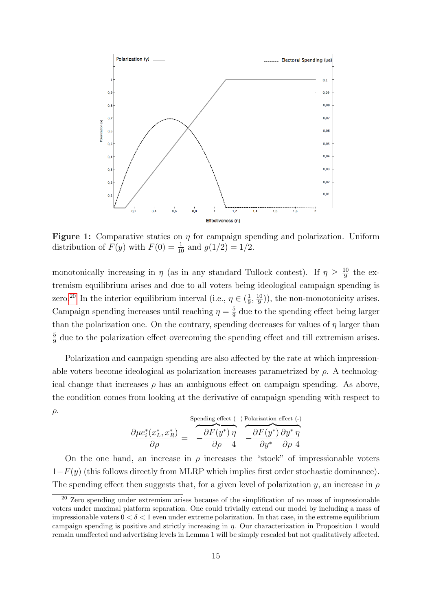<span id="page-14-0"></span>

**Figure 1:** Comparative statics on  $\eta$  for campaign spending and polarization. Uniform distribution of  $F(y)$  with  $F(0) = \frac{1}{10}$  and  $g(1/2) = 1/2$ .

monotonically increasing in  $\eta$  (as in any standard Tullock contest). If  $\eta \geq \frac{10}{9}$  $rac{10}{9}$  the extremism equilibrium arises and due to all voters being ideological campaign spending is zero.<sup>[20](#page-0-0)</sup> In the interior equilibrium interval (i.e.,  $\eta \in \left(\frac{1}{9}\right)$  $\frac{1}{9}, \frac{10}{9}$  $\frac{10}{9}$ ), the non-monotonicity arises. Campaign spending increases until reaching  $\eta = \frac{5}{9}$  $\frac{5}{9}$  due to the spending effect being larger than the polarization one. On the contrary, spending decreases for values of  $\eta$  larger than 5  $\frac{5}{9}$  due to the polarization effect overcoming the spending effect and till extremism arises.

Polarization and campaign spending are also affected by the rate at which impressionable voters become ideological as polarization increases parametrized by  $\rho$ . A technological change that increases  $\rho$  has an ambiguous effect on campaign spending. As above, the condition comes from looking at the derivative of campaign spending with respect to  $\rho$ .

$$
\frac{\partial \mu e_i^*(x_L^*, x_R^*)}{\partial \rho} = \frac{\partial F(y^*)}{\partial \rho} \frac{\eta}{4} \frac{\partial F(y^*)}{\partial y^*} \frac{\eta}{\partial \rho} \frac{\partial F(y^*)}{\partial y^*} \frac{\partial y^*}{\partial \rho} \frac{\eta}{4}
$$

On the one hand, an increase in  $\rho$  increases the "stock" of impressionable voters  $1-F(y)$  (this follows directly from MLRP which implies first order stochastic dominance). The spending effect then suggests that, for a given level of polarization y, an increase in  $\rho$ 

<sup>&</sup>lt;sup>20</sup> Zero spending under extremism arises because of the simplification of no mass of impressionable voters under maximal platform separation. One could trivially extend our model by including a mass of impressionable voters  $0 < \delta < 1$  even under extreme polarization. In that case, in the extreme equilibrium campaign spending is positive and strictly increasing in  $\eta$ . Our characterization in Proposition 1 would remain unaffected and advertising levels in Lemma 1 will be simply rescaled but not qualitatively affected.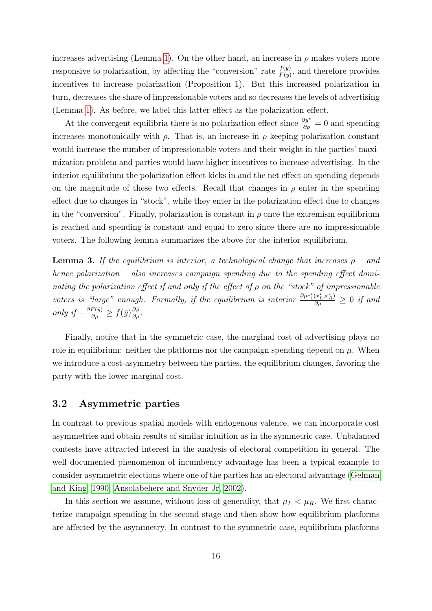increases advertising (Lemma [1\)](#page-9-0). On the other hand, an increase in  $\rho$  makes voters more responsive to polarization, by affecting the "conversion" rate  $\frac{f(y)}{F(y)}$ , and therefore provides incentives to increase polarization (Proposition 1). But this increased polarization in turn, decreases the share of impressionable voters and so decreases the levels of advertising (Lemma [1\)](#page-9-0). As before, we label this latter effect as the polarization effect.

At the convergent equilibria there is no polarization effect since  $\frac{\partial y^*}{\partial \rho} = 0$  and spending increases monotonically with  $\rho$ . That is, an increase in  $\rho$  keeping polarization constant would increase the number of impressionable voters and their weight in the parties' maximization problem and parties would have higher incentives to increase advertising. In the interior equilibrium the polarization effect kicks in and the net effect on spending depends on the magnitude of these two effects. Recall that changes in  $\rho$  enter in the spending effect due to changes in "stock", while they enter in the polarization effect due to changes in the "conversion". Finally, polarization is constant in  $\rho$  once the extremism equilibrium is reached and spending is constant and equal to zero since there are no impressionable voters. The following lemma summarizes the above for the interior equilibrium.

<span id="page-15-0"></span>**Lemma 3.** If the equilibrium is interior, a technological change that increases  $\rho$  – and hence polarization – also increases campaign spending due to the spending effect dominating the polarization effect if and only if the effect of  $\rho$  on the "stock" of impressionable voters is "large" enough. Formally, if the equilibrium is interior  $\frac{\partial \mu e_i^*(x_L^*, x_R^*)}{\partial \rho} \geq 0$  if and only if  $-\frac{\partial F(\bar{y})}{\partial \rho} \ge f(\bar{y})\frac{\partial \bar{y}}{\partial \rho}$ .

Finally, notice that in the symmetric case, the marginal cost of advertising plays no role in equilibrium: neither the platforms nor the campaign spending depend on  $\mu$ . When we introduce a cost-asymmetry between the parties, the equilibrium changes, favoring the party with the lower marginal cost.

### 3.2 Asymmetric parties

In contrast to previous spatial models with endogenous valence, we can incorporate cost asymmetries and obtain results of similar intuition as in the symmetric case. Unbalanced contests have attracted interest in the analysis of electoral competition in general. The well documented phenomenon of incumbency advantage has been a typical example to consider asymmetric elections where one of the parties has an electoral advantage [\(Gelman](#page-38-13) [and King, 1990;](#page-38-13) [Ansolabehere and Snyder Jr, 2002\)](#page-36-10).

In this section we assume, without loss of generality, that  $\mu_L < \mu_R$ . We first characterize campaign spending in the second stage and then show how equilibrium platforms are affected by the asymmetry. In contrast to the symmetric case, equilibrium platforms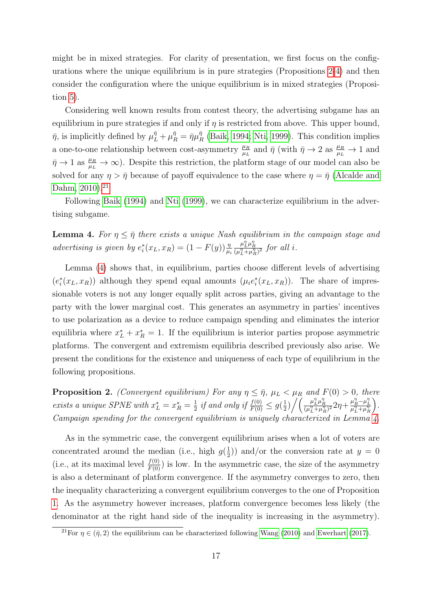might be in mixed strategies. For clarity of presentation, we first focus on the configurations where the unique equilibrium is in pure strategies (Propositions [2-](#page-16-0)[4\)](#page-18-0) and then consider the configuration where the unique equilibrium is in mixed strategies (Proposition [5\)](#page-19-0).

Considering well known results from contest theory, the advertising subgame has an equilibrium in pure strategies if and only if  $\eta$  is restricted from above. This upper bound,  $\bar{\eta}$ , is implicitly defined by  $\mu_L^{\bar{\eta}} + \mu_R^{\bar{\eta}} = \bar{\eta} \mu_I^{\bar{\eta}}$  $R_R^{\eta}$  [\(Baik, 1994;](#page-36-11) [Nti, 1999\)](#page-40-13). This condition implies a one-to-one relationship between cost-asymmetry  $\frac{\mu_R}{\mu_L}$  and  $\bar{\eta}$  (with  $\bar{\eta} \to 2$  as  $\frac{\mu_R}{\mu_L} \to 1$  and  $\bar{\eta} \to 1$  as  $\frac{\mu_R}{\mu_L} \to \infty$ ). Despite this restriction, the platform stage of our model can also be solved for any  $\eta > \bar{\eta}$  because of payoff equivalence to the case where  $\eta = \bar{\eta}$  [\(Alcalde and](#page-36-9) [Dahm, 2010\)](#page-36-9).<sup>[21](#page-0-0)</sup>

Following [Baik](#page-36-11) [\(1994\)](#page-36-11) and [Nti](#page-40-13) [\(1999\)](#page-40-13), we can characterize equilibrium in the advertising subgame.

<span id="page-16-1"></span>**Lemma 4.** For  $\eta \leq \bar{\eta}$  there exists a unique Nash equilibrium in the campaign stage and advertising is given by  $e_i^*(x_L, x_R) = (1 - F(y)) \frac{\eta}{\mu_i}$  $\frac{\mu_L^n \mu_R^n}{(\mu_L^n + \mu_R^n)^2}$  for all *i*.

Lemma [\(4\)](#page-16-1) shows that, in equilibrium, parties choose different levels of advertising  $(e_i^*(x_L, x_R))$  although they spend equal amounts  $(\mu_i e_i^*(x_L, x_R))$ . The share of impressionable voters is not any longer equally split across parties, giving an advantage to the party with the lower marginal cost. This generates an asymmetry in parties' incentives to use polarization as a device to reduce campaign spending and eliminates the interior equilibria where  $x_L^* + x_R^* = 1$ . If the equilibrium is interior parties propose asymmetric platforms. The convergent and extremism equilibria described previously also arise. We present the conditions for the existence and uniqueness of each type of equilibrium in the following propositions.

<span id="page-16-0"></span>**Proposition 2.** (Convergent equilibrium) For any  $\eta \leq \bar{\eta}$ ,  $\mu_L < \mu_R$  and  $F(0) > 0$ , there exists a unique SPNE with  $x_L^* = x_R^* = \frac{1}{2}$  $rac{1}{2}$  if and only if  $\frac{f(0)}{F(0)} \leq g(\frac{1}{2})$  $\frac{1}{2}\big)\bigg/\bigg(\frac{\mu_{L}^{\eta}\mu_{R}^{\eta}}{(\mu_{L}^{\eta}+\mu_{R}^{\eta})^{2}}2\eta+\frac{\mu_{R}^{\eta}-\mu_{L}^{\eta}}{\mu_{L}^{\eta}+\mu_{R}^{\eta}}$  . Campaign spending for the convergent equilibrium is uniquely characterized in Lemma [4.](#page-16-1)

As in the symmetric case, the convergent equilibrium arises when a lot of voters are concentrated around the median (i.e., high  $g(\frac{1}{2})$  $(\frac{1}{2})$  and/or the conversion rate at  $y = 0$ (i.e., at its maximal level  $\frac{f(0)}{F(0)}$ ) is low. In the asymmetric case, the size of the asymmetry is also a determinant of platform convergence. If the asymmetry converges to zero, then the inequality characterizing a convergent equilibrium converges to the one of Proposition [1.](#page-10-0) As the asymmetry however increases, platform convergence becomes less likely (the denominator at the right hand side of the inequality is increasing in the asymmetry).

<sup>&</sup>lt;sup>21</sup>For  $\eta \in (\bar{\eta}, 2)$  the equilibrium can be characterized following [Wang](#page-40-14) [\(2010\)](#page-40-14) and [Ewerhart](#page-38-14) [\(2017\)](#page-38-14).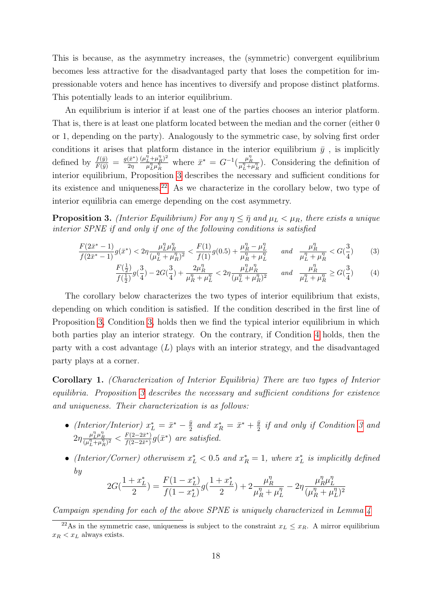This is because, as the asymmetry increases, the (symmetric) convergent equilibrium becomes less attractive for the disadvantaged party that loses the competition for impressionable voters and hence has incentives to diversify and propose distinct platforms. This potentially leads to an interior equilibrium.

An equilibrium is interior if at least one of the parties chooses an interior platform. That is, there is at least one platform located between the median and the corner (either 0 or 1, depending on the party). Analogously to the symmetric case, by solving first order conditions it arises that platform distance in the interior equilibrium  $\bar{y}$ , is implicitly defined by  $\frac{f(\bar{y})}{F(\bar{y})} = \frac{g(\bar{x}^*)}{2\eta}$  $2\eta$  $(\mu_L^{\eta} + \mu_R^{\eta})^2$  $\frac{L^{\eta} + \mu_R^{\eta} \rho^2}{\mu_L^{\eta} \mu_R^{\eta}}$  where  $\bar{x}^* = G^{-1}(\frac{\mu_R^{\eta}}{\mu_L^{\eta} + \mu_R^{\eta}})$ . Considering the definition of interior equilibrium, Proposition [3](#page-17-0) describes the necessary and sufficient conditions for its existence and uniqueness.[22](#page-0-0) As we characterize in the corollary below, two type of interior equilibria can emerge depending on the cost asymmetry.

<span id="page-17-0"></span>**Proposition 3.** (Interior Equilibrium) For any  $\eta \leq \bar{\eta}$  and  $\mu_L < \mu_R$ , there exists a unique interior SPNE if and only if one of the following conditions is satisfied

$$
\frac{F(2\bar{x}^* - 1)}{f(2\bar{x}^* - 1)} g(\bar{x}^*) < 2\eta \frac{\mu_L^n \mu_R^n}{(\mu_L^n + \mu_R^n)^2} < \frac{F(1)}{f(1)} g(0.5) + \frac{\mu_R^n - \mu_L^n}{\mu_R^n + \mu_L^n} \quad \text{and} \quad \frac{\mu_R^n}{\mu_L^n + \mu_R^n} < G(\frac{3}{4})
$$
(3)

<span id="page-17-2"></span><span id="page-17-1"></span>
$$
\frac{F(\frac{1}{2})}{f(\frac{1}{2})}g(\frac{3}{4}) - 2G(\frac{3}{4}) + \frac{2\mu_R^{\eta}}{\mu_R^{\eta} + \mu_L^{\eta}} < 2\eta \frac{\mu_L^{\eta} \mu_R^{\eta}}{(\mu_L^{\eta} + \mu_R^{\eta})^2} \quad \text{and} \quad \frac{\mu_R^{\eta}}{\mu_L^{\eta} + \mu_R^{\eta}} \ge G(\frac{3}{4}) \tag{4}
$$

The corollary below characterizes the two types of interior equilibrium that exists, depending on which condition is satisfied. If the condition described in the first line of Proposition [3,](#page-17-0) Condition [3,](#page-17-1) holds then we find the typical interior equilibrium in which both parties play an interior strategy. On the contrary, if Condition [4](#page-17-2) holds, then the party with a cost advantage  $(L)$  plays with an interior strategy, and the disadvantaged party plays at a corner.

<span id="page-17-3"></span>Corollary 1. (Characterization of Interior Equilibria) There are two types of Interior equilibria. Proposition [3](#page-17-0) describes the necessary and sufficient conditions for existence and uniqueness. Their characterization is as follows:

- (Interior/Interior)  $x_L^* = \bar{x}^* \frac{\bar{y}}{2}$  $\frac{\bar{y}}{2}$  and  $x_R^* = \bar{x}^* + \frac{\bar{y}}{2}$  $\frac{y}{2}$  if and only if Condition [3](#page-17-1) and  $2\eta \frac{\mu_L^n \mu_R^n}{(\mu_L^n + \mu_R^n)^2} < \frac{F(2 - 2\bar{x}^*)}{f(2 - 2\bar{x}^*)}$  $\frac{F(2-2\bar{x}^*)}{f(2-2\bar{x}^*)}g(\bar{x}^*)$  are satisfied.
- (Interior/Corner) otherwisem  $x_L^* < 0.5$  and  $x_R^* = 1$ , where  $x_L^*$  is implicitly defined by

$$
2G(\frac{1+x_L^*}{2})=\frac{F(1-x_L^*)}{f(1-x_L^*)}g(\frac{1+x_L^*}{2})+2\frac{\mu_R^\eta}{\mu_R^\eta+\mu_L^\eta}-2\eta\frac{\mu_R^\eta\mu_L^\eta}{(\mu_R^\eta+\mu_L^\eta)^2}
$$

Campaign spending for each of the above SPNE is uniquely characterized in Lemma [4](#page-16-1)

<sup>&</sup>lt;sup>22</sup>As in the symmetric case, uniqueness is subject to the constraint  $x_L \leq x_R$ . A mirror equilibrium  $x_R < x_L$  always exists.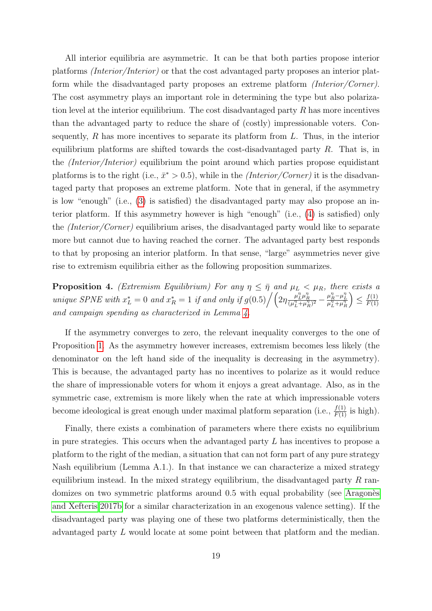All interior equilibria are asymmetric. It can be that both parties propose interior platforms (Interior/Interior) or that the cost advantaged party proposes an interior platform while the disadvantaged party proposes an extreme platform (Interior/Corner). The cost asymmetry plays an important role in determining the type but also polarization level at the interior equilibrium. The cost disadvantaged party  $R$  has more incentives than the advantaged party to reduce the share of (costly) impressionable voters. Consequently,  $R$  has more incentives to separate its platform from  $L$ . Thus, in the interior equilibrium platforms are shifted towards the cost-disadvantaged party  $R$ . That is, in the (Interior/Interior) equilibrium the point around which parties propose equidistant platforms is to the right (i.e.,  $\bar{x}^* > 0.5$ ), while in the *(Interior/Corner)* it is the disadvantaged party that proposes an extreme platform. Note that in general, if the asymmetry is low "enough" (i.e., [\(3\)](#page-17-1) is satisfied) the disadvantaged party may also propose an interior platform. If this asymmetry however is high "enough" (i.e., [\(4\)](#page-17-2) is satisfied) only the (Interior/Corner) equilibrium arises, the disadvantaged party would like to separate more but cannot due to having reached the corner. The advantaged party best responds to that by proposing an interior platform. In that sense, "large" asymmetries never give rise to extremism equilibria either as the following proposition summarizes.

<span id="page-18-0"></span>**Proposition 4.** (Extremism Equilibrium) For any  $\eta \leq \bar{\eta}$  and  $\mu_L < \mu_R$ , there exists a unique SPNE with  $x_L^* = 0$  and  $x_R^* = 1$  if and only if  $g(0.5) / (2\eta \frac{\mu_L^n \mu_R^n}{(\mu_L^n + \mu_R^n)^2} - \frac{\mu_R^n - \mu_L^n}{\mu_L^n + \mu_R^n})$  $\left.\right)\leq\frac{f(1)}{F(1)}$  $F(1)$ and campaign spending as characterized in Lemma.

If the asymmetry converges to zero, the relevant inequality converges to the one of Proposition [1.](#page-10-0) As the asymmetry however increases, extremism becomes less likely (the denominator on the left hand side of the inequality is decreasing in the asymmetry). This is because, the advantaged party has no incentives to polarize as it would reduce the share of impressionable voters for whom it enjoys a great advantage. Also, as in the symmetric case, extremism is more likely when the rate at which impressionable voters become ideological is great enough under maximal platform separation (i.e.,  $\frac{f(1)}{F(1)}$  is high).

Finally, there exists a combination of parameters where there exists no equilibrium in pure strategies. This occurs when the advantaged party  $L$  has incentives to propose a platform to the right of the median, a situation that can not form part of any pure strategy Nash equilibrium (Lemma A.1.). In that instance we can characterize a mixed strategy equilibrium instead. In the mixed strategy equilibrium, the disadvantaged party  $R$  randomizes on two symmetric platforms around 0.5 with equal probability (see Aragones [and Xefteris 2017b](#page-36-12) for a similar characterization in an exogenous valence setting). If the disadvantaged party was playing one of these two platforms deterministically, then the advantaged party L would locate at some point between that platform and the median.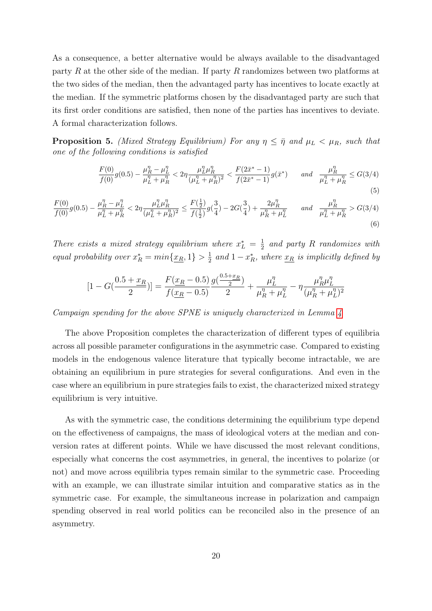As a consequence, a better alternative would be always available to the disadvantaged party R at the other side of the median. If party R randomizes between two platforms at the two sides of the median, then the advantaged party has incentives to locate exactly at the median. If the symmetric platforms chosen by the disadvantaged party are such that its first order conditions are satisfied, then none of the parties has incentives to deviate. A formal characterization follows.

<span id="page-19-0"></span>**Proposition 5.** (Mixed Strategy Equilibrium) For any  $\eta \leq \bar{\eta}$  and  $\mu_L < \mu_R$ , such that one of the following conditions is satisfied

$$
\frac{F(0)}{f(0)}g(0.5) - \frac{\mu_R^{\eta} - \mu_L^{\eta}}{\mu_L^{\eta} + \mu_R^{\eta}} < 2\eta \frac{\mu_L^{\eta} \mu_R^{\eta}}{(\mu_L^{\eta} + \mu_R^{\eta})^2} < \frac{F(2\bar{x}^* - 1)}{f(2\bar{x}^* - 1)}g(\bar{x}^*) \quad \text{and} \quad \frac{\mu_R^{\eta}}{\mu_L^{\eta} + \mu_R^{\eta}} \le G(3/4)
$$
\n
$$
(5)
$$

$$
\frac{F(0)}{f(0)}g(0.5) - \frac{\mu_R^n - \mu_L^n}{\mu_L^n + \mu_R^n} < 2\eta \frac{\mu_L^n \mu_R^n}{(\mu_L^n + \mu_R^n)^2} \le \frac{F(\frac{1}{2})}{f(\frac{1}{2})}g(\frac{3}{4}) - 2G(\frac{3}{4}) + \frac{2\mu_R^n}{\mu_R^n + \mu_L^n} \quad \text{and} \quad \frac{\mu_R^n}{\mu_L^n + \mu_R^n} > G(3/4) \tag{6}
$$

There exists a mixed strategy equilibrium where  $x_L^* = \frac{1}{2}$  $\frac{1}{2}$  and party R randomizes with equal probability over  $x_R^* = min\{\underline{x_R}, 1\} > \frac{1}{2}$  $\frac{1}{2}$  and  $1-x_R^*$ , where  $\underline{x_R}$  is implicitly defined by

$$
[1 - G(\frac{0.5 + x_R}{2})] = \frac{F(x_R - 0.5)}{f(x_R - 0.5)} \frac{g(\frac{0.5 + x_R}{2})}{2} + \frac{\mu_L^{\eta}}{\mu_R^{\eta} + \mu_L^{\eta}} - \eta \frac{\mu_R^{\eta} \mu_L^{\eta}}{(\mu_R^{\eta} + \mu_L^{\eta})^2}
$$

Campaign spending for the above SPNE is uniquely characterized in Lemma [4](#page-16-1)

The above Proposition completes the characterization of different types of equilibria across all possible parameter configurations in the asymmetric case. Compared to existing models in the endogenous valence literature that typically become intractable, we are obtaining an equilibrium in pure strategies for several configurations. And even in the case where an equilibrium in pure strategies fails to exist, the characterized mixed strategy equilibrium is very intuitive.

As with the symmetric case, the conditions determining the equilibrium type depend on the effectiveness of campaigns, the mass of ideological voters at the median and conversion rates at different points. While we have discussed the most relevant conditions, especially what concerns the cost asymmetries, in general, the incentives to polarize (or not) and move across equilibria types remain similar to the symmetric case. Proceeding with an example, we can illustrate similar intuition and comparative statics as in the symmetric case. For example, the simultaneous increase in polarization and campaign spending observed in real world politics can be reconciled also in the presence of an asymmetry.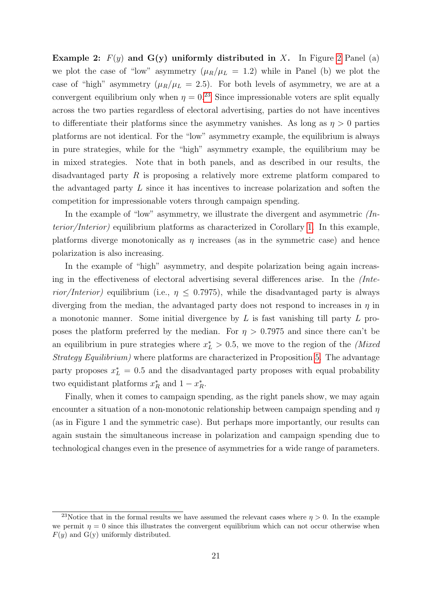**Example [2](#page-21-0):**  $F(y)$  and  $G(y)$  uniformly distributed in X. In Figure 2 Panel (a) we plot the case of "low" asymmetry  $(\mu_R/\mu_L = 1.2)$  while in Panel (b) we plot the case of "high" asymmetry  $(\mu_R/\mu_L = 2.5)$ . For both levels of asymmetry, we are at a convergent equilibrium only when  $\eta = 0.23$  $\eta = 0.23$  Since impressionable voters are split equally across the two parties regardless of electoral advertising, parties do not have incentives to differentiate their platforms since the asymmetry vanishes. As long as  $\eta > 0$  parties platforms are not identical. For the "low" asymmetry example, the equilibrium is always in pure strategies, while for the "high" asymmetry example, the equilibrium may be in mixed strategies. Note that in both panels, and as described in our results, the disadvantaged party R is proposing a relatively more extreme platform compared to the advantaged party L since it has incentives to increase polarization and soften the competition for impressionable voters through campaign spending.

In the example of "low" asymmetry, we illustrate the divergent and asymmetric  $(In$ terior/Interior) equilibrium platforms as characterized in Corollary [1.](#page-17-3) In this example, platforms diverge monotonically as  $\eta$  increases (as in the symmetric case) and hence polarization is also increasing.

In the example of "high" asymmetry, and despite polarization being again increasing in the effectiveness of electoral advertising several differences arise. In the (Interior/Interior) equilibrium (i.e.,  $\eta \leq 0.7975$ ), while the disadvantaged party is always diverging from the median, the advantaged party does not respond to increases in  $\eta$  in a monotonic manner. Some initial divergence by L is fast vanishing till party L proposes the platform preferred by the median. For  $\eta > 0.7975$  and since there can't be an equilibrium in pure strategies where  $x_L^* > 0.5$ , we move to the region of the (Mixed Strategy Equilibrium) where platforms are characterized in Proposition [5.](#page-19-0) The advantage party proposes  $x_L^* = 0.5$  and the disadvantaged party proposes with equal probability two equidistant platforms  $x_R^*$  and  $1 - x_R^*$ .

Finally, when it comes to campaign spending, as the right panels show, we may again encounter a situation of a non-monotonic relationship between campaign spending and  $\eta$ (as in Figure 1 and the symmetric case). But perhaps more importantly, our results can again sustain the simultaneous increase in polarization and campaign spending due to technological changes even in the presence of asymmetries for a wide range of parameters.

<sup>&</sup>lt;sup>23</sup>Notice that in the formal results we have assumed the relevant cases where  $\eta > 0$ . In the example we permit  $\eta = 0$  since this illustrates the convergent equilibrium which can not occur otherwise when  $F(y)$  and  $G(y)$  uniformly distributed.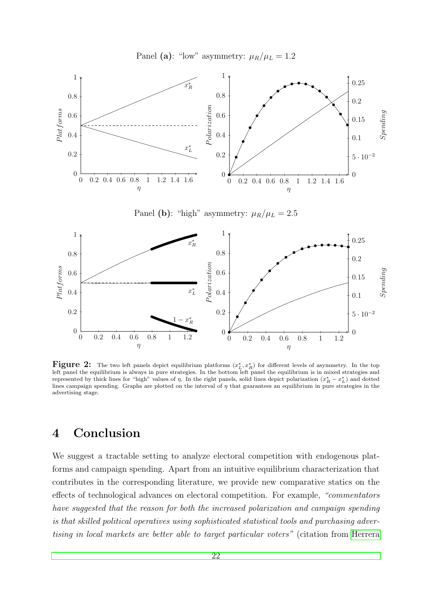Panel (a): "low" asymmetry:  $\mu_R/\mu_L = 1.2$ 

<span id="page-21-0"></span>

Figure 2: The two left panels depict equilibrium platforms  $(x_L^*, x_R^*)$  for different levels of asymmetry. In the top left panel the equilibrium is always in pure strategies. In the bottom left panel the equilibrium is in mixed strategies and represented by thick lines for "high" values of  $\eta$ . In the right panels, solid lines depict polarization  $(x_R^* - x_L^*)$  and dotted lines campaign spending. Graphs are plotted on the interval of  $\eta$  that guarantees an equilibrium in pure strategies in the advertising stage.

## 4 Conclusion

We suggest a tractable setting to analyze electoral competition with endogenous platforms and campaign spending. Apart from an intuitive equilibrium characterization that contributes in the corresponding literature, we provide new comparative statics on the effects of technological advances on electoral competition. For example, "commentators have suggested that the reason for both the increased polarization and campaign spending is that skilled political operatives using sophisticated statistical tools and purchasing advertising in local markets are better able to target particular voters" (citation from [Herrera](#page-38-2)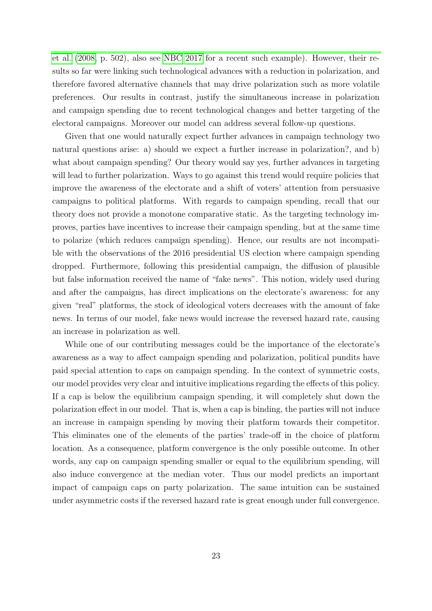[et al.](#page-38-2) [\(2008,](#page-38-2) p. 502), also see [NBC 2017](#page-39-9) for a recent such example). However, their results so far were linking such technological advances with a reduction in polarization, and therefore favored alternative channels that may drive polarization such as more volatile preferences. Our results in contrast, justify the simultaneous increase in polarization and campaign spending due to recent technological changes and better targeting of the electoral campaigns. Moreover our model can address several follow-up questions.

Given that one would naturally expect further advances in campaign technology two natural questions arise: a) should we expect a further increase in polarization?, and b) what about campaign spending? Our theory would say yes, further advances in targeting will lead to further polarization. Ways to go against this trend would require policies that improve the awareness of the electorate and a shift of voters' attention from persuasive campaigns to political platforms. With regards to campaign spending, recall that our theory does not provide a monotone comparative static. As the targeting technology improves, parties have incentives to increase their campaign spending, but at the same time to polarize (which reduces campaign spending). Hence, our results are not incompatible with the observations of the 2016 presidential US election where campaign spending dropped. Furthermore, following this presidential campaign, the diffusion of plausible but false information received the name of "fake news". This notion, widely used during and after the campaigns, has direct implications on the electorate's awareness: for any given "real" platforms, the stock of ideological voters decreases with the amount of fake news. In terms of our model, fake news would increase the reversed hazard rate, causing an increase in polarization as well.

While one of our contributing messages could be the importance of the electorate's awareness as a way to affect campaign spending and polarization, political pundits have paid special attention to caps on campaign spending. In the context of symmetric costs, our model provides very clear and intuitive implications regarding the effects of this policy. If a cap is below the equilibrium campaign spending, it will completely shut down the polarization effect in our model. That is, when a cap is binding, the parties will not induce an increase in campaign spending by moving their platform towards their competitor. This eliminates one of the elements of the parties' trade-off in the choice of platform location. As a consequence, platform convergence is the only possible outcome. In other words, any cap on campaign spending smaller or equal to the equilibrium spending, will also induce convergence at the median voter. Thus our model predicts an important impact of campaign caps on party polarization. The same intuition can be sustained under asymmetric costs if the reversed hazard rate is great enough under full convergence.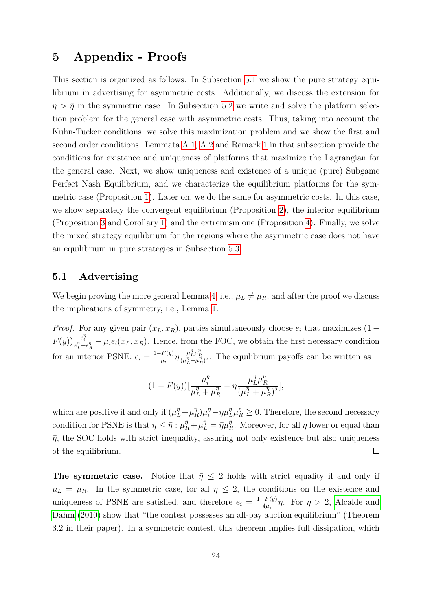## 5 Appendix - Proofs

This section is organized as follows. In Subsection [5.1](#page-23-0) we show the pure strategy equilibrium in advertising for asymmetric costs. Additionally, we discuss the extension for  $\eta > \bar{\eta}$  in the symmetric case. In Subsection [5.2](#page-24-0) we write and solve the platform selection problem for the general case with asymmetric costs. Thus, taking into account the Kuhn-Tucker conditions, we solve this maximization problem and we show the first and second order conditions. Lemmata [A.1,](#page-9-0) [A.2](#page-13-0) and Remark [1](#page-26-0) in that subsection provide the conditions for existence and uniqueness of platforms that maximize the Lagrangian for the general case. Next, we show uniqueness and existence of a unique (pure) Subgame Perfect Nash Equilibrium, and we characterize the equilibrium platforms for the symmetric case (Proposition [1\)](#page-10-0). Later on, we do the same for asymmetric costs. In this case, we show separately the convergent equilibrium (Proposition [2\)](#page-16-0), the interior equilibrium (Proposition [3](#page-17-0) and Corollary [1\)](#page-17-3) and the extremism one (Proposition [4\)](#page-18-0). Finally, we solve the mixed strategy equilibrium for the regions where the asymmetric case does not have an equilibrium in pure strategies in Subsection [5.3.](#page-31-0)

## <span id="page-23-0"></span>5.1 Advertising

We begin proving the more general Lemma [4,](#page-16-1) i.e.,  $\mu_L \neq \mu_R$ , and after the proof we discuss the implications of symmetry, i.e., Lemma [1.](#page-9-0)

*Proof.* For any given pair  $(x_L, x_R)$ , parties simultaneously choose  $e_i$  that maximizes (1 –  $F(y)$ )  $\frac{e_i^{\eta}}{e_L^{\eta}+e_R^{\eta}} - \mu_i e_i(x_L, x_R)$ . Hence, from the FOC, we obtain the first necessary condition for an interior PSNE:  $e_i = \frac{1-F(y)}{m}$  $\frac{F(y)}{\mu_i} \eta \frac{\mu_L^n \mu_R^n}{(\mu_L^n + \mu_R^n)^2}$ . The equilibrium payoffs can be written as

$$
(1 - F(y))\left[\frac{\mu_l^{\eta}}{\mu_L^{\eta} + \mu_R^{\eta}} - \eta \frac{\mu_L^{\eta} \mu_R^{\eta}}{(\mu_L^{\eta} + \mu_R^{\eta})^2}\right],
$$

which are positive if and only if  $(\mu_L^{\eta} + \mu_I^{\eta})$  $\binom{n}{R}\mu_i^{\eta} - \eta \mu_L^{\eta} \mu_R^{\eta} \geq 0$ . Therefore, the second necessary condition for PSNE is that  $\eta \leq \bar{\eta} : \mu_R^{\bar{\eta}} + \mu_L^{\bar{\eta}} = \bar{\eta} \mu_R^{\bar{\eta}}$  $\eta_R^{\eta}$ . Moreover, for all  $\eta$  lower or equal than  $\bar{\eta}$ , the SOC holds with strict inequality, assuring not only existence but also uniqueness of the equilibrium.  $\Box$ 

The symmetric case. Notice that  $\bar{\eta} \leq 2$  holds with strict equality if and only if  $\mu_L = \mu_R$ . In the symmetric case, for all  $\eta \leq 2$ , the conditions on the existence and uniqueness of PSNE are satisfied, and therefore  $e_i = \frac{1-F(y)}{4\mu_i}$  $\frac{f^2 F(y)}{4\mu_i}$   $\eta$ . For  $\eta > 2$ , [Alcalde and](#page-36-9) [Dahm](#page-36-9) [\(2010\)](#page-36-9) show that "the contest possesses an all-pay auction equilibrium" (Theorem 3.2 in their paper). In a symmetric contest, this theorem implies full dissipation, which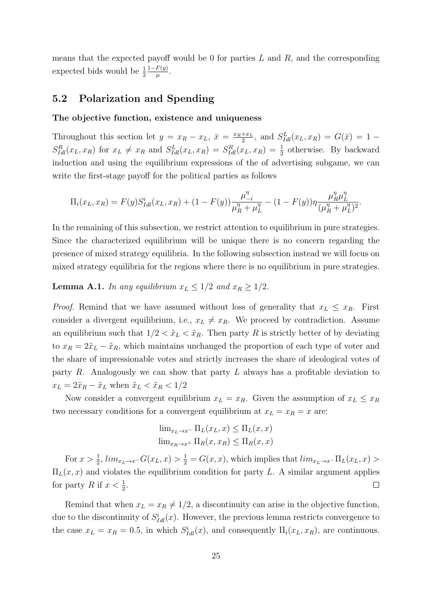means that the expected payoff would be 0 for parties  $L$  and  $R$ , and the corresponding expected bids would be  $\frac{1}{2}$  $1-F(y)$  $\frac{F(y)}{\mu}$ .

## <span id="page-24-0"></span>5.2 Polarization and Spending

#### The objective function, existence and uniqueness

Throughout this section let  $y = x_R - x_L$ ,  $\bar{x} = \frac{x_R + x_L}{2}$  $\frac{f^{+x_L}}{2}$ , and  $S_{Idl}^L(x_L, x_R) = G(\bar{x}) = 1 S_{Idl}^R(x_L, x_R)$  for  $x_L \neq x_R$  and  $S_{Idl}^L(x_L, x_R) = S_{Idl}^R(x_L, x_R) = \frac{1}{2}$  otherwise. By backward induction and using the equilibrium expressions of the of advertising subgame, we can write the first-stage payoff for the political parties as follows

$$
\Pi_i(x_L, x_R) = F(y)S_{Idl}^i(x_L, x_R) + (1 - F(y))\frac{\mu_{-i}^{\eta}}{\mu_R^{\eta} + \mu_L^{\eta}} - (1 - F(y))\eta \frac{\mu_R^{\eta} \mu_L^{\eta}}{(\mu_R^{\eta} + \mu_L^{\eta})^2}.
$$

In the remaining of this subsection, we restrict attention to equilibrium in pure strategies. Since the characterized equilibrium will be unique there is no concern regarding the presence of mixed strategy equilibria. In the following subsection instead we will focus on mixed strategy equilibria for the regions where there is no equilibrium in pure strategies.

**Lemma A.1.** In any equilibrium  $x_L \leq 1/2$  and  $x_R \geq 1/2$ .

*Proof.* Remind that we have assumed without loss of generality that  $x_L \leq x_R$ . First consider a divergent equilibrium, i.e.,  $x_L \neq x_R$ . We proceed by contradiction. Assume an equilibrium such that  $1/2 < \tilde{x}_L < \tilde{x}_R$ . Then party R is strictly better of by deviating to  $x_R = 2\tilde{x}_L - \tilde{x}_R$ , which maintains unchanged the proportion of each type of voter and the share of impressionable votes and strictly increases the share of ideological votes of party R. Analogously we can show that party  $L$  always has a profitable deviation to  $x_L = 2\tilde{x}_R - \tilde{x}_L$  when  $\tilde{x}_L < \tilde{x}_R < 1/2$ 

Now consider a convergent equilibrium  $x_L = x_R$ . Given the assumption of  $x_L \le x_R$ two necessary conditions for a convergent equilibrium at  $x_L = x_R = x$  are:

$$
\lim_{x_L \to x^-} \Pi_L(x_L, x) \le \Pi_L(x, x)
$$

$$
\lim_{x_R \to x^+} \Pi_R(x, x_R) \le \Pi_R(x, x)
$$

For  $x > \frac{1}{2}$ ,  $\lim_{x_L \to x^-} G(x_L, x) > \frac{1}{2} = G(x, x)$ , which implies that  $\lim_{x_L \to x^-} \Pi_L(x_L, x) >$  $\Pi_L(x, x)$  and violates the equilibrium condition for party L. A similar argument applies for party R if  $x < \frac{1}{2}$ .  $\Box$ 

Remind that when  $x_L = x_R \neq 1/2$ , a discontinuity can arise in the objective function, due to the discontinuity of  $S_{Id}^i(x)$ . However, the previous lemma restricts convergence to the case  $x_L = x_R = 0.5$ , in which  $S_{Idl}^i(x)$ , and consequently  $\Pi_i(x_L, x_R)$ , are continuous.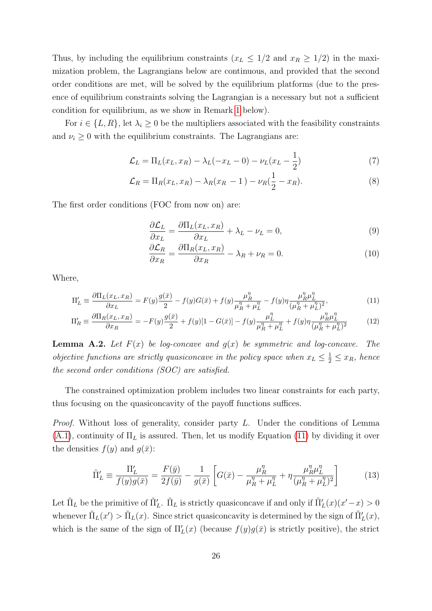Thus, by including the equilibrium constraints  $(x_L \leq 1/2$  and  $x_R \geq 1/2)$  in the maximization problem, the Lagrangians below are continuous, and provided that the second order conditions are met, will be solved by the equilibrium platforms (due to the presence of equilibrium constraints solving the Lagrangian is a necessary but not a sufficient condition for equilibrium, as we show in Remark [1](#page-26-0) below).

For  $i \in \{L, R\}$ , let  $\lambda_i \geq 0$  be the multipliers associated with the feasibility constraints and  $\nu_i \geq 0$  with the equilibrium constraints. The Lagrangians are:

$$
\mathcal{L}_L = \Pi_L(x_L, x_R) - \lambda_L(-x_L - 0) - \nu_L(x_L - \frac{1}{2})
$$
\n(7)

$$
\mathcal{L}_R = \Pi_R(x_L, x_R) - \lambda_R(x_R - 1) - \nu_R(\frac{1}{2} - x_R). \tag{8}
$$

The first order conditions (FOC from now on) are:

<span id="page-25-2"></span>
$$
\frac{\partial \mathcal{L}_L}{\partial x_L} = \frac{\partial \Pi_L(x_L, x_R)}{\partial x_L} + \lambda_L - \nu_L = 0,
$$
\n(9)

<span id="page-25-3"></span><span id="page-25-1"></span><span id="page-25-0"></span>
$$
\frac{\partial \mathcal{L}_R}{\partial x_R} = \frac{\partial \Pi_R(x_L, x_R)}{\partial x_R} - \lambda_R + \nu_R = 0.
$$
 (10)

Where,

$$
\Pi'_{L} \equiv \frac{\partial \Pi_{L}(x_{L}, x_{R})}{\partial x_{L}} = F(y)\frac{g(\bar{x})}{2} - f(y)G(\bar{x}) + f(y)\frac{\mu_{R}^{\eta}}{\mu_{R}^{\eta} + \mu_{L}^{\eta}} - f(y)\eta \frac{\mu_{R}^{\eta}\mu_{L}^{\eta}}{(\mu_{R}^{\eta} + \mu_{L}^{\eta})^{2}},
$$
\n(11)

$$
\Pi_R' \equiv \frac{\partial \Pi_R(x_L, x_R)}{\partial x_R} = -F(y)\frac{g(\bar{x})}{2} + f(y)[1 - G(\bar{x})] - f(y)\frac{\mu_L''}{\mu_R'' + \mu_L''} + f(y)\eta \frac{\mu_R'' \mu_L''}{(\mu_R'' + \mu_L'')^2} \tag{12}
$$

**Lemma A.2.** Let  $F(x)$  be log-concave and  $g(x)$  be symmetric and log-concave. The objective functions are strictly quasiconcave in the policy space when  $x_L \leq \frac{1}{2} \leq x_R$ , hence the second order conditions (SOC) are satisfied.

The constrained optimization problem includes two linear constraints for each party, thus focusing on the quasiconcavity of the payoff functions suffices.

Proof. Without loss of generality, consider party L. Under the conditions of Lemma  $(A.1)$ , continuity of  $\Pi_L$  is assured. Then, let us modify Equation [\(11\)](#page-25-0) by dividing it over the densities  $f(y)$  and  $g(\bar{x})$ :

$$
\tilde{\Pi}'_L \equiv \frac{\Pi'_L}{f(y)g(\bar{x})} = \frac{F(\bar{y})}{2f(\bar{y})} - \frac{1}{g(\bar{x})} \left[ G(\bar{x}) - \frac{\mu_R^{\eta} \mu_L}{\mu_R^{\eta} + \mu_L^{\eta}} + \eta \frac{\mu_R^{\eta} \mu_L^{\eta}}{(\mu_R^{\eta} + \mu_L^{\eta})^2} \right]
$$
(13)

Let  $\tilde{\Pi}_L$  be the primitive of  $\tilde{\Pi}'_L$ .  $\tilde{\Pi}_L$  is strictly quasiconcave if and only if  $\tilde{\Pi}'_L(x)(x'-x) > 0$ whenever  $\tilde{\Pi}_L(x') > \tilde{\Pi}_L(x)$ . Since strict quasiconcavity is determined by the sign of  $\tilde{\Pi}'_L(x)$ , which is the same of the sign of  $\Pi'_L(x)$  (because  $f(y)g(\bar{x})$  is strictly positive), the strict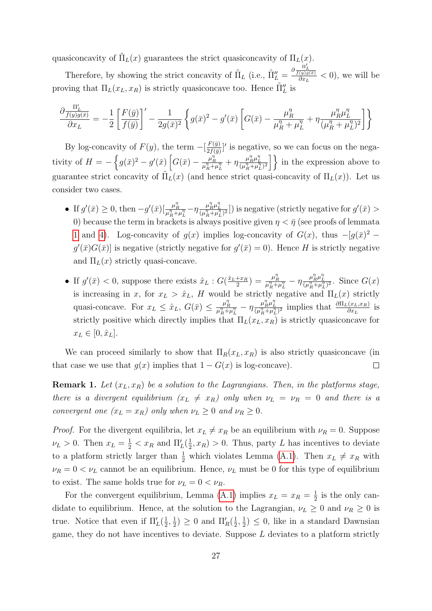quasiconcavity of  $\tilde{\Pi}_L(x)$  guarantees the strict quasiconcavity of  $\Pi_L(x)$ .

Therefore, by showing the strict concavity of  $\tilde{\Pi}_L$  (i.e.,  $\tilde{\Pi}_L'' = \frac{\partial \tilde{\Pi}_L^{(r)}}{\partial x_L} < 0$ ), we will be proving that  $\Pi_L(x_L, x_R)$  is strictly quasiconcave too. Hence  $\tilde{\Pi}_L^{\prime\prime}$  is

$$
\frac{\partial \frac{\Pi_L'}{f(y)g(\bar{x})}}{\partial x_L} = -\frac{1}{2} \left[ \frac{F(\bar{y})}{f(\bar{y})} \right]' - \frac{1}{2g(\bar{x})^2} \left\{ g(\bar{x})^2 - g'(\bar{x}) \left[ G(\bar{x}) - \frac{\mu_R^{\eta}}{\mu_R^{\eta} + \mu_L^{\eta}} + \eta \frac{\mu_R^{\eta} \mu_L^{\eta}}{(\mu_R^{\eta} + \mu_L^{\eta})^2} \right] \right\}
$$

By log-concavity of  $F(y)$ , the term  $-\left[\frac{F(\bar{y})}{2f(\bar{y})}\right]$  $\frac{F(\bar{y})}{2f(\bar{y})}$  is negative, so we can focus on the negativity of  $H = -\left\{g(\bar{x})^2 - g'(\bar{x})\left[G(\bar{x}) - \frac{\mu_R^{\eta}g}{\mu_R^{\eta} + \mu_L^{\eta}} + \eta \frac{\mu_R^{\eta} \mu_L^{\eta}}{(\mu_R^{\eta} + \mu_L^{\eta})^2}\right]\right\}$  in the expression above to guarantee strict concavity of  $\tilde{\Pi}_L(x)$  (and hence strict quasi-concavity of  $\Pi_L(x)$ ). Let us consider two cases.

- If  $g'(\bar{x}) \geq 0$ , then  $-g'(\bar{x})\left[\frac{\mu_R^{\eta} \eta \frac{\mu_R^{\eta} \mu_L^{\eta}}{(\mu_R^{\eta} + \mu_L^{\eta})^2}\right]$  is negative (strictly negative for  $g'(\bar{x}) >$ 0) because the term in brackets is always positive given  $\eta < \bar{\eta}$  (see proofs of lemmata [1](#page-9-0) and [4\)](#page-16-1). Log-concavity of  $g(x)$  implies log-concavity of  $G(x)$ , thus  $-[g(\bar{x})^2$  $g'(\bar{x})G(\bar{x})$  is negative (strictly negative for  $g'(\bar{x})=0$ ). Hence H is strictly negative and  $\Pi_L(x)$  strictly quasi-concave.
- If  $g'(\bar{x}) < 0$ , suppose there exists  $\hat{x}_L : G(\frac{\hat{x}_L + x_R}{2})$  $\frac{f(x)}{2} = \frac{\mu_R^{\eta}}{\mu_R^{\eta} + \mu_L^{\eta}} - \eta \frac{\mu_R^{\eta} \mu_L^{\eta}}{(\mu_R^{\eta} + \mu_L^{\eta})^2}$ . Since  $G(x)$ is increasing in x, for  $x_L > \hat{x}_L$ , H would be strictly negative and  $\Pi_L(x)$  strictly quasi-concave. For  $x_L \leq \hat{x}_L$ ,  $G(\bar{x}) \leq \frac{\mu_R^n}{\mu_R^n + \mu_L^n} - \eta \frac{\mu_R^n \mu_L^n}{(\mu_R^n + \mu_L^n)^2}$  implies that  $\frac{\partial \Pi_L(x_L, x_R)}{\partial x_L}$  is strictly positive which directly implies that  $\Pi_L(x_L, x_R)$  is strictly quasiconcave for  $x_L \in [0, \hat{x}_L].$

We can proceed similarly to show that  $\Pi_R(x_L, x_R)$  is also strictly quasiconcave (in that case we use that  $g(x)$  implies that  $1 - G(x)$  is log-concave).  $\Box$ 

<span id="page-26-0"></span>**Remark 1.** Let  $(x_L, x_R)$  be a solution to the Lagrangians. Then, in the platforms stage, there is a divergent equilibrium  $(x_L \neq x_R)$  only when  $\nu_L = \nu_R = 0$  and there is a convergent one  $(x_L = x_R)$  only when  $\nu_L \geq 0$  and  $\nu_R \geq 0$ .

*Proof.* For the divergent equilibria, let  $x_L \neq x_R$  be an equilibrium with  $\nu_R = 0$ . Suppose  $\nu_L > 0$ . Then  $x_L = \frac{1}{2} < x_R$  and  $\Pi'_L(\frac{1}{2})$  $(\frac{1}{2}, x_R) > 0$ . Thus, party L has incentives to deviate to a platform strictly larger than  $\frac{1}{2}$  which violates Lemma [\(A.1\)](#page-9-0). Then  $x_L \neq x_R$  with  $\nu_R = 0 \lt \nu_L$  cannot be an equilibrium. Hence,  $\nu_L$  must be 0 for this type of equilibrium to exist. The same holds true for  $\nu_L = 0 < \nu_R$ .

For the convergent equilibrium, Lemma [\(A.1\)](#page-9-0) implies  $x_L = x_R = \frac{1}{2}$  $\frac{1}{2}$  is the only candidate to equilibrium. Hence, at the solution to the Lagrangian,  $\nu_L \geq 0$  and  $\nu_R \geq 0$  is true. Notice that even if  $\Pi'_L(\frac{1}{2})$  $\frac{1}{2}, \frac{1}{2}$  $(\frac{1}{2}) \geq 0$  and  $\Pi'_R(\frac{1}{2})$  $\frac{1}{2}, \frac{1}{2}$  $(\frac{1}{2}) \leq 0$ , like in a standard Dawnsian game, they do not have incentives to deviate. Suppose L deviates to a platform strictly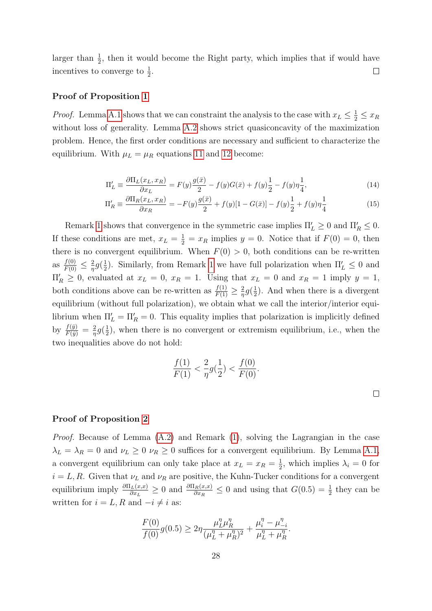larger than  $\frac{1}{2}$ , then it would become the Right party, which implies that if would have incentives to converge to  $\frac{1}{2}$ .  $\Box$ 

#### Proof of Proposition [1](#page-10-0)

*Proof.* Lemma [A.1](#page-9-0) shows that we can constraint the analysis to the case with  $x_L \leq \frac{1}{2} \leq x_R$ without loss of generality. Lemma [A.2](#page-13-0) shows strict quasiconcavity of the maximization problem. Hence, the first order conditions are necessary and sufficient to characterize the equilibrium. With  $\mu_L = \mu_R$  equations [11](#page-25-0) and [12](#page-25-1) become:

$$
\Pi'_{L} \equiv \frac{\partial \Pi_{L}(x_{L}, x_{R})}{\partial x_{L}} = F(y)\frac{g(\bar{x})}{2} - f(y)G(\bar{x}) + f(y)\frac{1}{2} - f(y)\eta \frac{1}{4},\tag{14}
$$

$$
\Pi_R' \equiv \frac{\partial \Pi_R(x_L, x_R)}{\partial x_R} = -F(y)\frac{g(\bar{x})}{2} + f(y)[1 - G(\bar{x})] - f(y)\frac{1}{2} + f(y)\eta \frac{1}{4}
$$
(15)

Remark [1](#page-26-0) shows that convergence in the symmetric case implies  $\Pi'_L \geq 0$  and  $\Pi'_R \leq 0$ . If these conditions are met,  $x_L = \frac{1}{2} = x_R$  implies  $y = 0$ . Notice that if  $F(0) = 0$ , then there is no convergent equilibrium. When  $F(0) > 0$ , both conditions can be re-written as  $\frac{f(0)}{F(0)} \leq \frac{2}{\eta}$  $rac{2}{\eta}g(\frac{1}{2})$  $\frac{1}{2}$ ). Similarly, from Remark [1](#page-26-0) we have full polarization when  $\Pi'_{L} \leq 0$  and  $\Pi'_R \geq 0$ , evaluated at  $x_L = 0$ ,  $x_R = 1$ . Using that  $x_L = 0$  and  $x_R = 1$  imply  $y = 1$ , both conditions above can be re-written as  $\frac{f(1)}{F(1)} \geq \frac{2}{\eta}$  $rac{2}{\eta}g(\frac{1}{2})$  $\frac{1}{2}$ ). And when there is a divergent equilibrium (without full polarization), we obtain what we call the interior/interior equilibrium when  $\Pi'_{L} = \Pi'_{R} = 0$ . This equality implies that polarization is implicitly defined by  $\frac{f(\bar{y})}{F(\bar{y})} = \frac{2}{\eta}$  $rac{2}{\eta}g(\frac{1}{2})$  $\frac{1}{2}$ , when there is no convergent or extremism equilibrium, i.e., when the two inequalities above do not hold:

$$
\frac{f(1)}{F(1)} < \frac{2}{\eta} g\left(\frac{1}{2}\right) < \frac{f(0)}{F(0)}.
$$

#### Proof of Proposition [2](#page-16-0)

Proof. Because of Lemma [\(A.2\)](#page-13-0) and Remark [\(1\)](#page-26-0), solving the Lagrangian in the case  $\lambda_L = \lambda_R = 0$  and  $\nu_L \geq 0$   $\nu_R \geq 0$  suffices for a convergent equilibrium. By Lemma [A.1,](#page-9-0) a convergent equilibrium can only take place at  $x_L = x_R = \frac{1}{2}$  $\frac{1}{2}$ , which implies  $\lambda_i = 0$  for  $i = L, R$ . Given that  $\nu_L$  and  $\nu_R$  are positive, the Kuhn-Tucker conditions for a convergent equilibrium imply  $\frac{\partial \Pi_L(x,x)}{\partial x_L} \geq 0$  and  $\frac{\partial \Pi_R(x,x)}{\partial x_R} \leq 0$  and using that  $G(0.5) = \frac{1}{2}$  they can be written for  $i = L, R$  and  $-i \neq i$  as:

$$
\frac{F(0)}{f(0)}g(0.5) \ge 2\eta \frac{\mu_L^{\eta} \mu_R^{\eta}}{(\mu_L^{\eta} + \mu_R^{\eta})^2} + \frac{\mu_i^{\eta} - \mu_{-i}^{\eta}}{\mu_L^{\eta} + \mu_R^{\eta}}.
$$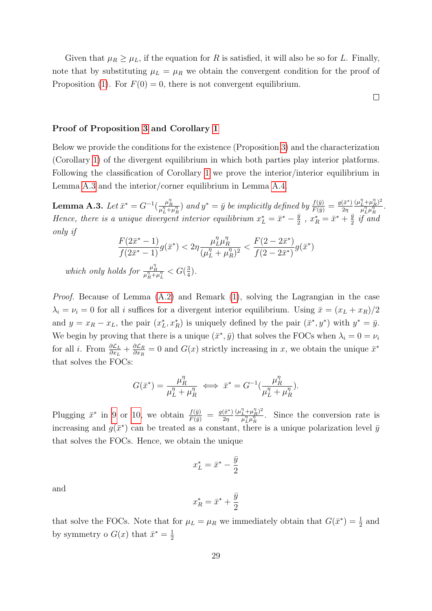Given that  $\mu_R \geq \mu_L$ , if the equation for R is satisfied, it will also be so for L. Finally, note that by substituting  $\mu_L = \mu_R$  we obtain the convergent condition for the proof of Proposition [\(1\)](#page-10-0). For  $F(0) = 0$ , there is not convergent equilibrium.

 $\Box$ 

### Proof of Proposition [3](#page-17-0) and Corollary [1](#page-17-3)

Below we provide the conditions for the existence (Proposition [3\)](#page-17-0) and the characterization (Corollary [1\)](#page-17-3) of the divergent equilibrium in which both parties play interior platforms. Following the classification of Corollary [1](#page-17-3) we prove the interior/interior equilibrium in Lemma [A.3](#page-15-0) and the interior/corner equilibrium in Lemma [A.4.](#page-16-1)

**Lemma A.3.** Let  $\bar{x}^* = G^{-1}(\frac{\mu_R^n}{\mu_L^n + \mu_R^n})$  and  $y^* = \bar{y}$  be implicitly defined by  $\frac{f(\bar{y})}{F(\bar{y})} = \frac{g(\bar{x}^*)}{2\eta}$  $2r$  $(\mu_L^{\eta} + \mu_R^{\eta})^2$  $\frac{L^+ \mu_R^+}{\mu_L^{\eta} \mu_R^{\eta}}$  . Hence, there is a unique divergent interior equilibrium  $x_L^* = \bar{x}^* - \frac{\bar{y}}{2}$  $\frac{\bar{y}}{2}$ ,  $x_R^* = \bar{x}^* + \frac{\bar{y}}{2}$  $rac{y}{2}$  if and only if

$$
\frac{F(2\bar{x}^* - 1)}{f(2\bar{x}^* - 1)} g(\bar{x}^*) < 2\eta \frac{\mu_L^n \mu_R^n}{(\mu_L^n + \mu_R^n)^2} < \frac{F(2 - 2\bar{x}^*)}{f(2 - 2\bar{x}^*)} g(\bar{x}^*)
$$
  
which only holds for  $\frac{\mu_R^n}{\mu_R^n + \mu_L^n} < G(\frac{3}{4})$ .

Proof. Because of Lemma [\(A.2\)](#page-13-0) and Remark [\(1\)](#page-26-0), solving the Lagrangian in the case  $\lambda_i = \nu_i = 0$  for all i suffices for a divergent interior equilibrium. Using  $\bar{x} = (x_L + x_R)/2$ and  $y = x_R - x_L$ , the pair  $(x_L^*, x_R^*)$  is uniquely defined by the pair  $(\bar{x}^*, y^*)$  with  $y^* = \bar{y}$ . We begin by proving that there is a unique  $(\bar{x}^*, \bar{y})$  that solves the FOCs when  $\lambda_i = 0 = \nu_i$ for all *i*. From  $\frac{\partial \mathcal{L}_L}{\partial x_L} + \frac{\partial \mathcal{L}_R}{\partial x_R}$  $\frac{\partial \mathcal{L}_R}{\partial x_R} = 0$  and  $G(x)$  strictly increasing in x, we obtain the unique  $\bar{x}^*$ that solves the FOCs:

$$
G(\bar{x}^*) = \frac{\mu_R^{\eta}}{\mu_L^{\eta} + \mu_R^{\eta}} \iff \bar{x}^* = G^{-1}(\frac{\mu_R^{\eta}}{\mu_L^{\eta} + \mu_R^{\eta}}).
$$

Plugging  $\bar{x}^*$  in [9](#page-25-2) or [10,](#page-25-3) we obtain  $\frac{f(\bar{y})}{F(\bar{y})} = \frac{g(\bar{x}^*)}{2\eta}$  $2\eta$  $(\mu_L^{\eta} + \mu_R^{\eta})^2$  $\frac{\dot{L} + \mu_R^{\eta}}{\mu_L^{\eta} \mu_R^{\eta}}$ . Since the conversion rate is increasing and  $g(\bar{x}^*)$  can be treated as a constant, there is a unique polarization level  $\bar{y}$ that solves the FOCs. Hence, we obtain the unique

$$
x_L^* = \bar{x}^* - \frac{\bar{y}}{2}
$$

and

$$
x_R^* = \bar{x}^* + \frac{\bar{y}}{2}
$$

that solve the FOCs. Note that for  $\mu_L = \mu_R$  we immediately obtain that  $G(\bar{x}^*) = \frac{1}{2}$  and by symmetry o  $G(x)$  that  $\bar{x}^* = \frac{1}{2}$ 2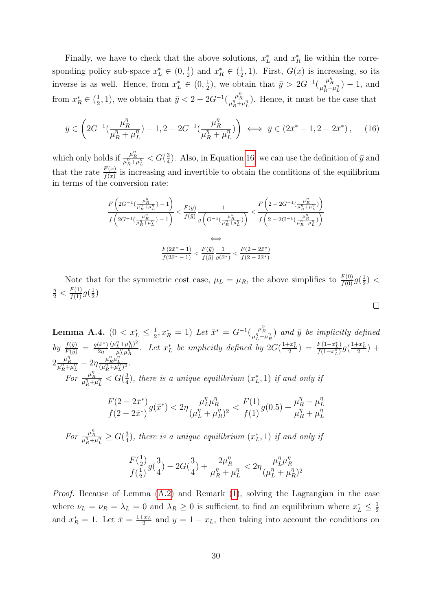Finally, we have to check that the above solutions,  $x_L^*$  and  $x_R^*$  lie within the corresponding policy sub-space  $x_L^* \in (0, \frac{1}{2})$  $(\frac{1}{2})$  and  $x_R^* \in (\frac{1}{2})$  $(\frac{1}{2}, 1)$ . First,  $G(x)$  is increasing, so its inverse is as well. Hence, from  $x_L^* \in (0, \frac{1}{2})$  $(\frac{1}{2})$ , we obtain that  $\bar{y} > 2G^{-1}(\frac{\mu_R^n}{\mu_R^n + \mu_L^n}) - 1$ , and from  $x_R^* \in \left(\frac{1}{2}\right)$  $(\frac{1}{2}, 1)$ , we obtain that  $\bar{y} < 2 - 2G^{-1}(\frac{\mu_R^n}{\mu_R^n + \mu_L^n})$ . Hence, it must be the case that

<span id="page-29-0"></span>
$$
\bar{y} \in \left(2G^{-1}\left(\frac{\mu_R^{\eta}}{\mu_R^{\eta} + \mu_L^{\eta}}\right) - 1, 2 - 2G^{-1}\left(\frac{\mu_R^{\eta}}{\mu_R^{\eta} + \mu_L^{\eta}}\right)\right) \iff \bar{y} \in \left(2\bar{x}^* - 1, 2 - 2\bar{x}^*\right),\tag{16}
$$

which only holds if  $\frac{\mu_R^n}{\mu_R^n + \mu_L^n} < G(\frac{3}{4})$  $\frac{3}{4}$ ). Also, in Equation [16,](#page-29-0) we can use the definition of  $\bar{y}$  and that the rate  $\frac{F(x)}{f(x)}$  is increasing and invertible to obtain the conditions of the equilibrium in terms of the conversion rate:

$$
\begin{split} \frac{F\left(2G^{-1}(\frac{\mu_R^n}{\mu_R^n+\mu_L^n})-1\right)}{f\left(2G^{-1}(\frac{\mu_R^n}{\mu_R^n+\mu_L^n})-1\right)} &< \frac{F\left(\bar{y}\right)}{f(\bar{y})}\frac{1}{g\left(G^{-1}(\frac{\mu_R^n}{\mu_R^n+\mu_L^n})\right)} &< \frac{F\left(2-2G^{-1}(\frac{\mu_R^n}{\mu_R^n+\mu_L^n})\right)}{f\left(2-2G^{-1}(\frac{\mu_R^n}{\mu_R^n+\mu_L^n})\right)} \\ &\Longleftrightarrow \\ \frac{F(2\bar{x}^*-1)}{f(2\bar{x}^*-1)} &< \frac{F(\bar{y})}{f(\bar{y})}\frac{1}{g(\bar{x}^*)} &< \frac{F(2-2\bar{x}^*)}{f(2-2\bar{x}^*)} \end{split}
$$

Note that for the symmetric cost case,  $\mu_L = \mu_R$ , the above simplifies to  $\frac{F(0)}{f(0)}g(\frac{1}{2})$  $(\frac{1}{2})$  <  $\frac{\eta}{2} < \frac{F(1)}{f(1)} g(\frac{1}{2})$  $\frac{1}{2}$ 

 $\Box$ 

Lemma A.4.  $(0 < x^*_L \leq \frac{1}{2})$  $(\frac{1}{2}, x_R^* = 1)$  Let  $\bar{x}^* = G^{-1}(\frac{\mu_R^n}{\mu_L^n + \mu_R^n})$  and  $\bar{y}$  be implicitly defined by  $\frac{f(\bar{y})}{F(\bar{y})} = \frac{g(\bar{x}^*)}{2\eta}$  $2\eta$  $(\mu_L^{\eta} + \mu_R^{\eta})^2$  $\frac{\frac{n}{L}+\mu_R^n}{\mu_L^n\mu_R^n}$ . Let  $x_L^*$  be implicitly defined by  $2G(\frac{1+x_L^*}{2}) = \frac{F(1-x_L^*)}{f(1-x_L^*)}$  $\frac{F(1-x_L^*)}{f(1-x_L^*)}g(\frac{1+x_L^*}{2}) +$  $2\frac{\mu_R^{\eta}}{\mu_R^{\eta}+\mu_L^{\eta}}-2\eta\frac{\mu_R^{\eta}\mu_L^{\eta}}{(\mu_R^{\eta}+\mu_L^{\eta})^2}.$ For  $\frac{\mu_R^{\eta}}{\mu_R^{\eta}+\mu_L^{\eta}} < G(\frac{3}{4})$  $\frac{3}{4}$ , there is a unique equilibrium  $(x_L^*, 1)$  if and only if

$$
\frac{F(2-2\bar{x}^*)}{f(2-2\bar{x}^*)}g(\bar{x}^*) < 2\eta \frac{\mu_L^n \mu_R^n}{(\mu_L^n + \mu_R^n)^2} < \frac{F(1)}{f(1)}g(0.5) + \frac{\mu_R^n - \mu_L^n}{\mu_R^n + \mu_L^n}
$$

For  $\frac{\mu_R^{\eta}}{\mu_R^{\eta} + \mu_L^{\eta}} \ge G(\frac{3}{4})$  $\frac{3}{4}$ ), there is a unique equilibrium  $(x_L^*, 1)$  if and only if

$$
\frac{F(\frac{1}{2})}{f(\frac{1}{2})}g(\frac{3}{4})-2G(\frac{3}{4})+\frac{2\mu_R^{\eta}}{\mu_R^{\eta}+\mu_L^{\eta}}<2\eta\frac{\mu_L^{\eta}\mu_R^{\eta}}{(\mu_L^{\eta}+\mu_R^{\eta})^2}
$$

Proof. Because of Lemma [\(A.2\)](#page-13-0) and Remark [\(1\)](#page-26-0), solving the Lagrangian in the case where  $\nu_L = \nu_R = \lambda_L = 0$  and  $\lambda_R \geq 0$  is sufficient to find an equilibrium where  $x_L^* \leq \frac{1}{2}$ 2 and  $x_R^* = 1$ . Let  $\bar{x} = \frac{1+x_L}{2}$  $\frac{2-x_L}{2}$  and  $y = 1 - x_L$ , then taking into account the conditions on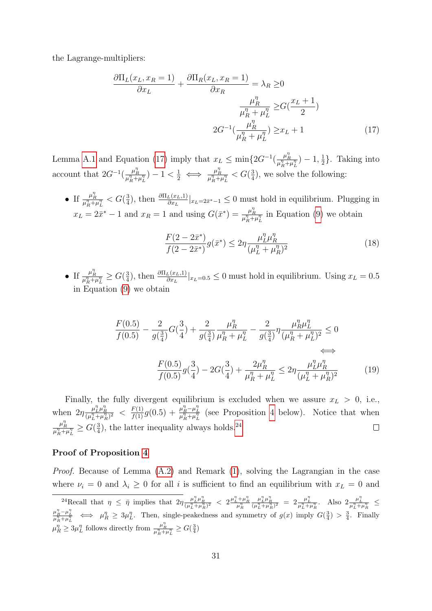the Lagrange-multipliers:

$$
\frac{\partial \Pi_L(x_L, x_R = 1)}{\partial x_L} + \frac{\partial \Pi_R(x_L, x_R = 1)}{\partial x_R} = \lambda_R \ge 0
$$

$$
\frac{\mu_R^{\eta}}{\mu_R^{\eta} + \mu_L^{\eta}} \ge G(\frac{x_L + 1}{2})
$$

$$
2G^{-1}(\frac{\mu_R^{\eta}}{\mu_R^{\eta} + \mu_L^{\eta}}) \ge x_L + 1
$$
(17)

Lemma [A.1](#page-9-0) and Equation [\(17\)](#page-30-0) imply that  $x_L \le \min\{2G^{-1}(\frac{\mu_R^n}{\mu_R^n + \mu_L^n}) - 1, \frac{1}{2}\}$  $\frac{1}{2}$ . Taking into account that  $2G^{-1}(\frac{\mu_R^n}{\mu_R^n + \mu_L^n}) - 1 < \frac{1}{2} \iff \frac{\mu_R^n}{\mu_R^n + \mu_L^n} < G(\frac{3}{4})$  $\frac{3}{4}$ , we solve the following:

• If  $\frac{\mu_R^{\eta}}{\mu_R^{\eta} + \mu_L^{\eta}} < G(\frac{3}{4})$  $\frac{3}{4}$ ), then  $\frac{\partial \Pi_L(x_L,1)}{\partial x_L}|_{x_L=2\bar{x}^*-1} \leq 0$  must hold in equilibrium. Plugging in  $x_L = 2\bar{x}^* - 1$  and  $x_R = 1$  and using  $G(\bar{x}^*) = \frac{\mu_R^n}{\mu_R^n + \mu_L^n}$  in Equation [\(9\)](#page-25-2) we obtain

<span id="page-30-0"></span>
$$
\frac{F(2 - 2\bar{x}^*)}{f(2 - 2\bar{x}^*)} g(\bar{x}^*) \le 2\eta \frac{\mu_L^n \mu_R^n}{(\mu_L^n + \mu_R^n)^2}
$$
\n(18)

• If  $\frac{\mu_R^{\eta}}{\mu_R^{\eta} + \mu_L^{\eta}} \ge G(\frac{3}{4})$  $\frac{3}{4}$ ), then  $\frac{\partial \Pi_L(x_L,1)}{\partial x_L}|_{x_L=0.5} \leq 0$  must hold in equilibrium. Using  $x_L = 0.5$ in Equation [\(9\)](#page-25-2) we obtain

$$
\frac{F(0.5)}{f(0.5)} - \frac{2}{g(\frac{3}{4})}G(\frac{3}{4}) + \frac{2}{g(\frac{3}{4})}\frac{\mu_R^{\eta}}{\mu_R^{\eta} + \mu_L^{\eta}} - \frac{2}{g(\frac{3}{4})}\eta \frac{\mu_R^{\eta}\mu_L^{\eta}}{(\mu_R^{\eta} + \mu_L^{\eta})^2} \le 0
$$
\n
$$
\iff
$$
\n
$$
\frac{F(0.5)}{f(0.5)}g(\frac{3}{4}) - 2G(\frac{3}{4}) + \frac{2\mu_R^{\eta}}{\mu_R^{\eta} + \mu_L^{\eta}} \le 2\eta \frac{\mu_L^{\eta}\mu_R^{\eta}}{(\mu_L^{\eta} + \mu_R^{\eta})^2}
$$
\n(19)

Finally, the fully divergent equilibrium is excluded when we assure  $x_L > 0$ , i.e., when  $2\eta \frac{\mu_L^n \mu_R^n}{(\mu_L^n + \mu_R^n)^2}$   $\langle \frac{F(1)}{f(1)} g(0.5) + \frac{\mu_R^n - \mu_L^n}{\mu_R^n + \mu_L^n} \rangle$  (see Proposition [4](#page-18-0) below). Notice that when η  $\frac{\mu_R^\eta}{\mu_R^\eta+\mu_L^\eta} \geq G (\frac{3}{4}$  $\frac{3}{4}$ ), the latter inequality always holds.<sup>[24](#page-0-0)</sup>  $\Box$ 

#### Proof of Proposition [4](#page-18-0)

Proof. Because of Lemma [\(A.2\)](#page-13-0) and Remark [\(1\)](#page-26-0), solving the Lagrangian in the case where  $\nu_i = 0$  and  $\lambda_i \geq 0$  for all i is sufficient to find an equilibrium with  $x_L = 0$  and

<sup>&</sup>lt;sup>24</sup>Recall that  $\eta \leq \bar{\eta}$  implies that  $2\eta \frac{\mu_L^n \mu_R^n}{(\mu_L^n + \mu_R^n)^2} < 2 \frac{\mu_L^n + \mu_R^n}{\mu_R^n}$  $\frac{\mu_L^n \mu_R^n}{(\mu_L^n + \mu_R^n)^2} = 2 \frac{\mu_L^n}{\mu_L^n + \mu_R^n}$ . Also  $2 \frac{\mu_L^n}{\mu_L^n + \mu_R^n}$  $\mu_R^n \to \mu_R^n \geq 3\mu_L^n$ . Then, single-peakedness and symmetry of  $g(x)$  imply  $G(\frac{3}{4}) > \frac{3}{4}$ . Finally  $\mu_R^{\eta} \geq 3\mu_L^{\eta}$  follows directly from  $\frac{\mu_R^{\eta}}{\mu_R^{\eta} + \mu_L^{\eta}} \geq G(\frac{3}{4})$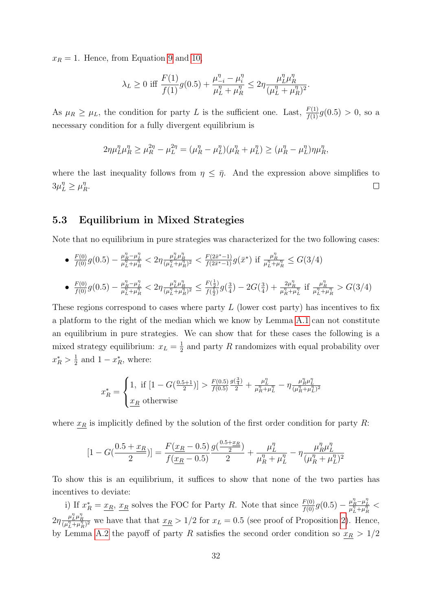$x_R = 1$ . Hence, from Equation [9](#page-25-2) and [10,](#page-25-3)

$$
\lambda_L \ge 0 \text{ iff } \frac{F(1)}{f(1)}g(0.5) + \frac{\mu_{-i}^{\eta} - \mu_i^{\eta}}{\mu_L^{\eta} + \mu_R^{\eta}} \le 2\eta \frac{\mu_L^{\eta} \mu_R^{\eta}}{(\mu_L^{\eta} + \mu_R^{\eta})^2}.
$$

As  $\mu_R \ge \mu_L$ , the condition for party L is the sufficient one. Last,  $\frac{F(1)}{f(1)}g(0.5) > 0$ , so a necessary condition for a fully divergent equilibrium is

$$
2\eta\mu_L^{\eta}\mu_R^{\eta} \ge \mu_R^{2\eta} - \mu_L^{2\eta} = (\mu_R^{\eta} - \mu_L^{\eta})(\mu_R^{\eta} + \mu_L^{\eta}) \ge (\mu_R^{\eta} - \mu_L^{\eta})\eta\mu_R^{\eta},
$$

where the last inequality follows from  $\eta \leq \bar{\eta}$ . And the expression above simplifies to  $3\mu_L^{\eta} \geq \mu_I^{\eta}$  $^{\eta}_{R}.$  $\Box$ 

## <span id="page-31-0"></span>5.3 Equilibrium in Mixed Strategies

Note that no equilibrium in pure strategies was characterized for the two following cases:

•  $\frac{F(0)}{f(0)}g(0.5) - \frac{\mu_R^n - \mu_L^n}{\mu_L^n + \mu_R^n} < 2\eta \frac{\mu_L^n \mu_R^n}{(\mu_L^n + \mu_R^n)^2} < \frac{F(2\bar{x}^* - 1)}{f(2\bar{x}^* - 1)}g(\bar{x}^*)$  if  $\frac{\mu_R^n}{\mu_L^n + \mu_R^n} \leq G(3/4)$ 

• 
$$
\frac{F(0)}{f(0)}g(0.5) - \frac{\mu_R^{\eta} - \mu_L^{\eta}}{\mu_L^{\eta} + \mu_R^{\eta}} < 2\eta \frac{\mu_L^{\eta} \mu_R^{\eta}}{(\mu_L^{\eta} + \mu_R^{\eta})^2} \le \frac{F(\frac{1}{2})}{f(\frac{1}{2})}g(\frac{3}{4}) - 2G(\frac{3}{4}) + \frac{2\mu_R^{\eta}}{\mu_R^{\eta} + \mu_L^{\eta}} \text{ if } \frac{\mu_R^{\eta}}{\mu_L^{\eta} + \mu_R^{\eta}} > G(3/4)
$$

These regions correspond to cases where party  $L$  (lower cost party) has incentives to fix a platform to the right of the median which we know by Lemma [A.1](#page-9-0) can not constitute an equilibrium in pure strategies. We can show that for these cases the following is a mixed strategy equilibrium:  $x_L = \frac{1}{2}$  $\frac{1}{2}$  and party R randomizes with equal probability over  $x_R^* > \frac{1}{2}$  $\frac{1}{2}$  and  $1 - x_R^*$ , where:

$$
x_R^* = \begin{cases} 1, & \text{if } \left[1 - G\left(\frac{0.5 + 1}{2}\right)\right] > \frac{F(0.5)}{f(0.5)} \frac{g\left(\frac{3}{4}\right)}{2} + \frac{\mu_L^n}{\mu_R^n + \mu_L^n} - \eta \frac{\mu_R^n \mu_L^n}{(\mu_R^n + \mu_L^n)^2} \\ \frac{x_R}{\mu_R} & \text{otherwise} \end{cases}
$$

where  $x_R$  is implicitly defined by the solution of the first order condition for party R:

$$
[1 - G(\frac{0.5 + x_R}{2})] = \frac{F(x_R - 0.5)}{f(\underline{x_R} - 0.5)} \frac{g(\frac{0.5 + x_R}{2})}{2} + \frac{\mu_L^{\eta}}{\mu_R^{\eta} + \mu_L^{\eta}} - \eta \frac{\mu_R^{\eta} \mu_L^{\eta}}{(\mu_R^{\eta} + \mu_L^{\eta})^2}
$$

To show this is an equilibrium, it suffices to show that none of the two parties has incentives to deviate:

i) If  $x_R^* = \frac{x_R}{\mu_L}$ ,  $\frac{x_R}{\mu_R}$  solves the FOC for Party R. Note that since  $\frac{F(0)}{f(0)}g(0.5) - \frac{\mu_R^n - \mu_L^n}{\mu_L^n + \mu_R^n}$  $2\eta \frac{\mu_L^u \mu_R^u}{(\mu_L^u + \mu_R^u)^2}$  we have that that  $\underline{x_R} > 1/2$  for  $x_L = 0.5$  (see proof of Proposition [2\)](#page-16-0). Hence,  $\eta$  .  $\eta$ by Lemma [A.2](#page-13-0) the payoff of party R satisfies the second order condition so  $x_R > 1/2$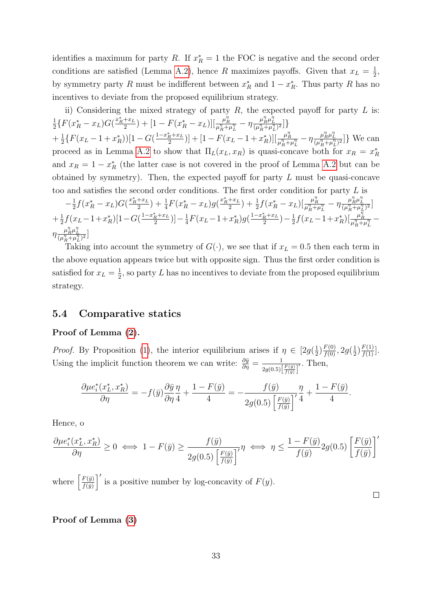identifies a maximum for party R. If  $x_R^* = 1$  the FOC is negative and the second order conditions are satisfied (Lemma [A.2\)](#page-13-0), hence R maximizes payoffs. Given that  $x_L = \frac{1}{2}$  $\frac{1}{2}$ , by symmetry party R must be indifferent between  $x_R^*$  and  $1 - x_R^*$ . Thus party R has no incentives to deviate from the proposed equilibrium strategy.

ii) Considering the mixed strategy of party  $R$ , the expected payoff for party  $L$  is: 1  $\frac{1}{2}\{F(x_R^* - x_L)G(\frac{x_R^* + x_L}{2})\}$  $\frac{1+x_L}{2}$ ) + [1 –  $F(x_R^* - x_L)$ ][ $\frac{\mu_R^n}{\mu_R^n + \mu_L^n}$  –  $\eta \frac{\mu_R^n \mu_L^n}{(\mu_R^n + \mu_L^n)^2}$ ]}  $+\frac{1}{2}$  $\frac{1}{2}\left\{F(x_L-1+x_R^*)\right)\left[1-G(\frac{1-x_R^*+x_L}{2}\right]$  $\left[\frac{m_R^2}{2}\right]+[1-F(x_L-1+x_R^*)][\frac{\mu_R^n}{\mu_R^n+\mu_L^n}-\eta\frac{\mu_R^n\mu_L^n}{(\mu_R^n+\mu_L^n)^2}]\right\}$  We can proceed as in Lemma [A.2](#page-13-0) to show that  $\Pi_L(x_L, x_R)$  is quasi-concave both for  $x_R = x_R^*$ and  $x_R = 1 - x_R^*$  (the latter case is not covered in the proof of Lemma [A.2](#page-13-0) but can be obtained by symmetry). Then, the expected payoff for party L must be quasi-concave too and satisfies the second order conditions. The first order condition for party L is

$$
-\frac{1}{2}f(x_R^* - x_L)G(\frac{x_R^* + x_L}{2}) + \frac{1}{4}F(x_R^* - x_L)g(\frac{x_R^* + x_L}{2}) + \frac{1}{2}f(x_R^* - x_L)[\frac{\mu_R^n}{\mu_R^n + \mu_L^n} - \eta \frac{\mu_R^n \mu_L^n}{(\mu_R^n + \mu_L^n)^2}] + \frac{1}{2}f(x_L - 1 + x_R^*)[1 - G(\frac{1 - x_R^* + x_L}{2})] - \frac{1}{4}F(x_L - 1 + x_R^*)g(\frac{1 - x_R^* + x_L}{2}) - \frac{1}{2}f(x_L - 1 + x_R^*)[\frac{\mu_R^n}{\mu_R^n + \mu_L^n})\eta \frac{\mu_R^n \mu_L^n}{(\mu_R^n + \mu_L^n)^2}]
$$

Taking into account the symmetry of  $G(\cdot)$ , we see that if  $x_L = 0.5$  then each term in the above equation appears twice but with opposite sign. Thus the first order condition is satisfied for  $x_L = \frac{1}{2}$  $\frac{1}{2}$ , so party L has no incentives to deviate from the proposed equilibrium strategy.

## 5.4 Comparative statics

### Proof of Lemma [\(2\)](#page-13-0).

*Proof.* By Proposition [\(1\)](#page-10-0), the interior equilibrium arises if  $\eta \in [2g(\frac{1}{2}$  $(\frac{1}{2})\frac{F(0)}{f(0)}, 2g(\frac{1}{2})$  $\frac{1}{2}$  $\frac{F(1)}{f(1)}$ . Using the implicit function theorem we can write:  $\frac{\partial \bar{y}}{\partial \eta} = \frac{1}{2g(0.5)}$  $2g(0.5)\left[\frac{F(\bar{y})}{f(\bar{y})}\right]$  $\overline{7}$ . Then,

$$
\frac{\partial\mu e_i^*(x_L^*,x_R^*)}{\partial\eta}=-f(\bar y)\frac{\partial\bar y}{\partial\eta}\frac{\eta}{4}+\frac{1-F(\bar y)}{4}=-\frac{f(\bar y)}{2g(0.5)\left[\frac{F(\bar y)}{f(\bar y)}\right]'}\frac{\eta}{4}+\frac{1-F(\bar y)}{4}
$$

Hence, o

$$
\frac{\partial \mu e_i^*(x_L^*,x_R^*)}{\partial \eta}\geq 0 \iff 1-F(\bar{y})\geq \frac{f(\bar{y})}{2g(0.5)\left[\frac{F(\bar{y})}{f(\bar{y})}\right]}\eta \iff \eta\leq \frac{1-F(\bar{y})}{f(\bar{y})}2g(0.5)\left[\frac{F(\bar{y})}{f(\bar{y})}\right]'
$$

where  $\left[\frac{F(\bar{y})}{f(\bar{x})}\right]$  $\left(\frac{F(\bar{y})}{f(\bar{y})}\right)'$  is a positive number by log-concavity of  $F(y)$ .

 $\Box$ 

.

### Proof of Lemma [\(3\)](#page-15-0)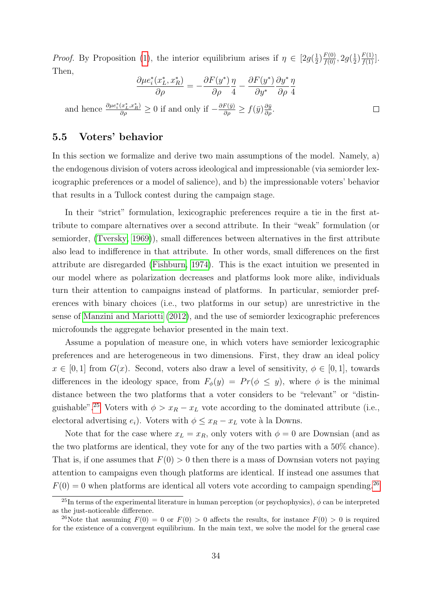*Proof.* By Proposition [\(1\)](#page-10-0), the interior equilibrium arises if  $\eta \in [2g(\frac{1}{2}$  $(\frac{1}{2})\frac{F(0)}{f(0)}, 2g(\frac{1}{2})$  $\frac{1}{2}$  $\frac{F(1)}{f(1)}$ . Then,

$$
\frac{\partial \mu e_i^*(x_L^*, x_R^*)}{\partial \rho} = -\frac{\partial F(y^*)}{\partial \rho} \frac{\eta}{4} - \frac{\partial F(y^*)}{\partial y^*} \frac{\partial y^*}{\partial \rho} \frac{\eta}{4}
$$
  
and hence  $\frac{\partial \mu e_i^*(x_L^*, x_R^*)}{\partial \rho} \ge 0$  if and only if  $-\frac{\partial F(\bar{y})}{\partial \rho} \ge f(\bar{y}) \frac{\partial \bar{y}}{\partial \rho}$ .

### <span id="page-33-0"></span>5.5 Voters' behavior

In this section we formalize and derive two main assumptions of the model. Namely, a) the endogenous division of voters across ideological and impressionable (via semiorder lexicographic preferences or a model of salience), and b) the impressionable voters' behavior that results in a Tullock contest during the campaign stage.

In their "strict" formulation, lexicographic preferences require a tie in the first attribute to compare alternatives over a second attribute. In their "weak" formulation (or semiorder, [\(Tversky, 1969\)](#page-40-2)), small differences between alternatives in the first attribute also lead to indifference in that attribute. In other words, small differences on the first attribute are disregarded [\(Fishburn, 1974\)](#page-38-15). This is the exact intuition we presented in our model where as polarization decreases and platforms look more alike, individuals turn their attention to campaigns instead of platforms. In particular, semiorder preferences with binary choices (i.e., two platforms in our setup) are unrestrictive in the sense of [Manzini and Mariotti](#page-39-4) [\(2012\)](#page-39-4), and the use of semiorder lexicographic preferences microfounds the aggregate behavior presented in the main text.

Assume a population of measure one, in which voters have semiorder lexicographic preferences and are heterogeneous in two dimensions. First, they draw an ideal policy  $x \in [0,1]$  from  $G(x)$ . Second, voters also draw a level of sensitivity,  $\phi \in [0,1]$ , towards differences in the ideology space, from  $F_{\phi}(y) = Pr(\phi \le y)$ , where  $\phi$  is the minimal distance between the two platforms that a voter considers to be "relevant" or "distin-guishable".<sup>[25](#page-0-0)</sup> Voters with  $\phi > x_R - x_L$  vote according to the dominated attribute (i.e., electoral advertising  $e_i$ ). Voters with  $\phi \leq x_R - x_L$  vote à la Downs.

Note that for the case where  $x_L = x_R$ , only voters with  $\phi = 0$  are Downsian (and as the two platforms are identical, they vote for any of the two parties with a 50% chance). That is, if one assumes that  $F(0) > 0$  then there is a mass of Downsian voters not paying attention to campaigns even though platforms are identical. If instead one assumes that  $F(0) = 0$  when platforms are identical all voters vote according to campaign spending.<sup>[26](#page-0-0)</sup>

<sup>&</sup>lt;sup>25</sup>In terms of the experimental literature in human perception (or psychophysics),  $\phi$  can be interpreted as the just-noticeable difference.

<sup>&</sup>lt;sup>26</sup>Note that assuming  $F(0) = 0$  or  $F(0) > 0$  affects the results, for instance  $F(0) > 0$  is required for the existence of a convergent equilibrium. In the main text, we solve the model for the general case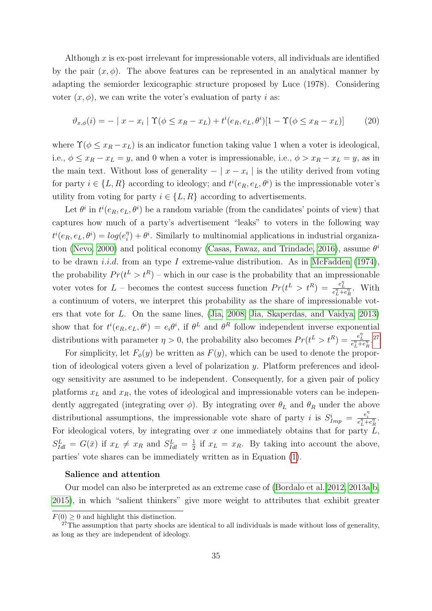Although  $x$  is ex-post irrelevant for impressionable voters, all individuals are identified by the pair  $(x, \phi)$ . The above features can be represented in an analytical manner by adapting the semiorder lexicographic structure proposed by Luce (1978). Considering voter  $(x, \phi)$ , we can write the voter's evaluation of party i as:

$$
\vartheta_{x,\phi}(i) = - | x - x_i | \Upsilon(\phi \le x_R - x_L) + t^i(e_R, e_L, \theta^i)[1 - \Upsilon(\phi \le x_R - x_L)] \tag{20}
$$

where  $\Upsilon(\phi \leq x_R - x_L)$  is an indicator function taking value 1 when a voter is ideological, i.e.,  $\phi \leq x_R - x_L = y$ , and 0 when a voter is impressionable, i.e.,  $\phi > x_R - x_L = y$ , as in the main text. Without loss of generality  $- | x - x_i |$  is the utility derived from voting for party  $i \in \{L, R\}$  according to ideology; and  $t^i(e_R, e_L, \theta^i)$  is the impressionable voter's utility from voting for party  $i \in \{L, R\}$  according to advertisements.

Let  $\theta^i$  in  $t^i(e_R, e_L, \theta^i)$  be a random variable (from the candidates' points of view) that captures how much of a party's advertisement "leaks" to voters in the following way  $t^i(e_R, e_L, \theta^i) = log(e_i^{\eta})$  $\hat{i}$ ) +  $\theta$ <sup>i</sup>. Similarly to multinomial applications in industrial organiza-tion [\(Nevo, 2000\)](#page-39-10) and political economy [\(Casas, Fawaz, and Trindade, 2016\)](#page-37-13), assume  $\theta^i$ to be drawn *i.i.d.* from an type I extreme-value distribution. As in [McFadden](#page-39-11) [\(1974\)](#page-39-11), the probability  $Pr(t^L > t^R)$  – which in our case is the probability that an impressionable voter votes for L – becomes the contest success function  $Pr(t^L > t^R) = \frac{e_L^{\eta}}{e_L^{\eta} + e_R^{\eta}}$ . With a continuum of voters, we interpret this probability as the share of impressionable voters that vote for L. On the same lines, [\(Jia, 2008;](#page-39-12) [Jia, Skaperdas, and Vaidya, 2013\)](#page-39-13) show that for  $t^i(e_R, e_L, \theta^i) = e_i \theta^i$ , if  $\theta^L$  and  $\theta^R$  follow independent inverse exponential distributions with parameter  $\eta > 0$ , the probability also becomes  $Pr(t^L > t^R) = \frac{e_L^{\eta}}{e_L^{\eta} + e_R^{\eta}}$ .<sup>[27](#page-0-0)</sup>

For simplicity, let  $F_{\phi}(y)$  be written as  $F(y)$ , which can be used to denote the proportion of ideological voters given a level of polarization y. Platform preferences and ideology sensitivity are assumed to be independent. Consequently, for a given pair of policy platforms  $x_L$  and  $x_R$ , the votes of ideological and impressionable voters can be independently aggregated (integrating over  $\phi$ ). By integrating over  $\theta_L$  and  $\theta_R$  under the above distributional assumptions, the impressionable vote share of party *i* is  $S_{Imp}^i = \frac{e_i^{\eta}}{e_L^{\eta} + e_R^{\eta}}$ . For ideological voters, by integrating over  $x$  one immediately obtains that for party  $L$ ,  $S_{Idl}^L = G(\bar{x})$  if  $x_L \neq x_R$  and  $S_{Idl}^L = \frac{1}{2}$  $\frac{1}{2}$  if  $x_L = x_R$ . By taking into account the above, parties' vote shares can be immediately written as in Equation [\(1\)](#page-8-0).

#### Salience and attention

Our model can also be interpreted as an extreme case of [\(Bordalo et al. 2012,](#page-37-4) [2013a,](#page-37-5)[b,](#page-37-6) [2015\)](#page-37-7), in which "salient thinkers" give more weight to attributes that exhibit greater

 $F(0) \geq 0$  and highlight this distinction.

 $27\text{The assumption that party shocks are identical to all individuals is made without loss of generality,}$ as long as they are independent of ideology.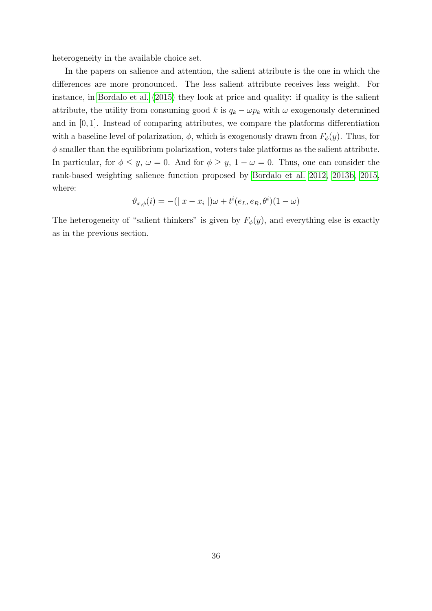heterogeneity in the available choice set.

In the papers on salience and attention, the salient attribute is the one in which the differences are more pronounced. The less salient attribute receives less weight. For instance, in [Bordalo et al.](#page-37-7) [\(2015\)](#page-37-7) they look at price and quality: if quality is the salient attribute, the utility from consuming good k is  $q_k - \omega p_k$  with  $\omega$  exogenously determined and in [0, 1]. Instead of comparing attributes, we compare the platforms differentiation with a baseline level of polarization,  $\phi$ , which is exogenously drawn from  $F_{\phi}(y)$ . Thus, for  $\phi$  smaller than the equilibrium polarization, voters take platforms as the salient attribute. In particular, for  $\phi \leq y$ ,  $\omega = 0$ . And for  $\phi \geq y$ ,  $1 - \omega = 0$ . Thus, one can consider the rank-based weighting salience function proposed by [Bordalo et al. 2012,](#page-37-4) [2013b,](#page-37-6) [2015,](#page-37-7) where:

$$
\vartheta_{x,\phi}(i) = -(|x - x_i|)\omega + t^i(e_L, e_R, \theta^i)(1 - \omega)
$$

The heterogeneity of "salient thinkers" is given by  $F_{\phi}(y)$ , and everything else is exactly as in the previous section.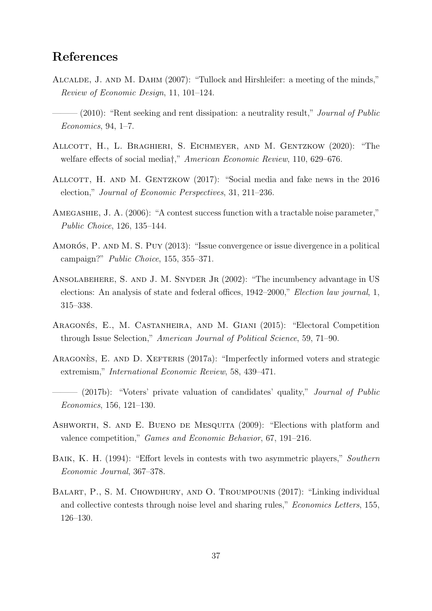## References

- <span id="page-36-6"></span>Alcalde, J. and M. Dahm (2007): "Tullock and Hirshleifer: a meeting of the minds," Review of Economic Design, 11, 101–124.
- <span id="page-36-9"></span> $-(2010)$ : "Rent seeking and rent dissipation: a neutrality result," *Journal of Public* Economics, 94, 1–7.
- <span id="page-36-1"></span>Allcott, H., L. Braghieri, S. Eichmeyer, and M. Gentzkow (2020): "The welfare effects of social media†," American Economic Review, 110, 629–676.
- <span id="page-36-2"></span>ALLCOTT, H. AND M. GENTZKOW (2017): "Social media and fake news in the 2016 election," Journal of Economic Perspectives, 31, 211–236.
- <span id="page-36-7"></span>Amegashie, J. A. (2006): "A contest success function with a tractable noise parameter," Public Choice, 126, 135–144.
- <span id="page-36-3"></span>AMORÓS, P. AND M. S. PUY  $(2013)$ : "Issue convergence or issue divergence in a political campaign?" Public Choice, 155, 355–371.
- <span id="page-36-10"></span>ANSOLABEHERE, S. AND J. M. SNYDER JR (2002): "The incumbency advantage in US elections: An analysis of state and federal offices, 1942–2000," Election law journal, 1, 315–338.
- <span id="page-36-4"></span>ARAGONÉS, E., M. CASTANHEIRA, AND M. GIANI (2015): "Electoral Competition through Issue Selection," American Journal of Political Science, 59, 71–90.
- <span id="page-36-5"></span>ARAGONES, E. AND D. XEFTERIS  $(2017a)$ : "Imperfectly informed voters and strategic extremism," International Economic Review, 58, 439–471.
- <span id="page-36-12"></span> $-$  (2017b): "Voters' private valuation of candidates' quality," *Journal of Public* Economics, 156, 121–130.
- <span id="page-36-0"></span>Ashworth, S. and E. Bueno de Mesquita (2009): "Elections with platform and valence competition," Games and Economic Behavior, 67, 191–216.
- <span id="page-36-11"></span>Baik, K. H. (1994): "Effort levels in contests with two asymmetric players," Southern Economic Journal, 367–378.
- <span id="page-36-8"></span>BALART, P., S. M. CHOWDHURY, AND O. TROUMPOUNIS (2017): "Linking individual and collective contests through noise level and sharing rules," Economics Letters, 155, 126–130.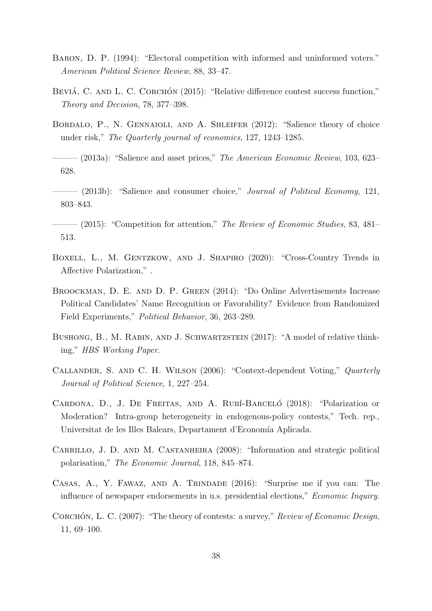- <span id="page-37-3"></span>Baron, D. P. (1994): "Electoral competition with informed and uninformed voters." American Political Science Review, 88, 33–47.
- <span id="page-37-12"></span>BEVIÁ, C. AND L. C. CORCHÓN  $(2015)$ : "Relative difference contest success function," Theory and Decision, 78, 377–398.
- <span id="page-37-4"></span>BORDALO, P., N. GENNAIOLI, AND A. SHLEIFER (2012): "Salience theory of choice under risk," The Quarterly journal of economics, 127, 1243–1285.
- <span id="page-37-5"></span> $-$  (2013a): "Salience and asset prices," The American Economic Review, 103, 623– 628.
- <span id="page-37-6"></span>——— (2013b): "Salience and consumer choice," Journal of Political Economy, 121, 803–843.
- <span id="page-37-7"></span> $-$  (2015): "Competition for attention," The Review of Economic Studies, 83, 481– 513.
- <span id="page-37-2"></span>BOXELL, L., M. GENTZKOW, AND J. SHAPIRO (2020): "Cross-Country Trends in Affective Polarization," .
- <span id="page-37-1"></span>Broockman, D. E. and D. P. Green (2014): "Do Online Advertisements Increase Political Candidates' Name Recognition or Favorability? Evidence from Randomized Field Experiments," Political Behavior, 36, 263–289.
- <span id="page-37-8"></span>BUSHONG, B., M. RABIN, AND J. SCHWARTZSTEIN (2017): "A model of relative thinking," HBS Working Paper.
- <span id="page-37-9"></span>Callander, S. and C. H. Wilson (2006): "Context-dependent Voting," Quarterly Journal of Political Science, 1, 227–254.
- <span id="page-37-10"></span>CARDONA, D., J. DE FREITAS, AND A. RUBÍ-BARCELÓ (2018): "Polarization or Moderation? Intra-group heterogeneity in endogenous-policy contests," Tech. rep., Universitat de les Illes Balears, Departament d'Economía Aplicada.
- <span id="page-37-0"></span>CARRILLO, J. D. AND M. CASTANHEIRA (2008): "Information and strategic political polarisation," The Economic Journal, 118, 845–874.
- <span id="page-37-13"></span>Casas, A., Y. Fawaz, and A. Trindade (2016): "Surprise me if you can: The influence of newspaper endorsements in u.s. presidential elections," Economic Inquiry.
- <span id="page-37-11"></span>CORCHÓN, L. C. (2007): "The theory of contests: a survey," Review of Economic Design, 11, 69–100.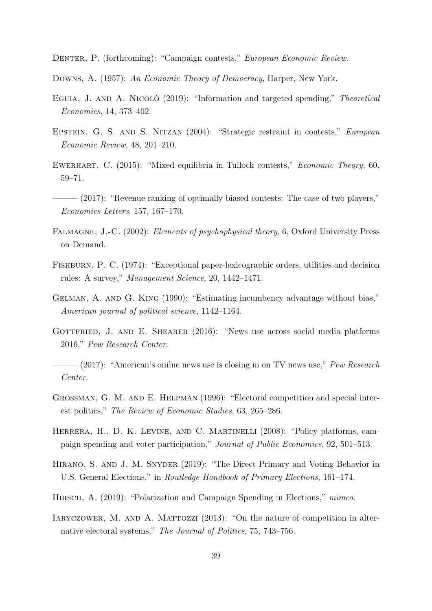<span id="page-38-8"></span>Denter, P. (forthcoming): "Campaign contests," European Economic Review.

<span id="page-38-3"></span>Downs, A. (1957): An Economic Theory of Democracy, Harper, New York.

- <span id="page-38-9"></span>EGUIA, J. AND A. NICOLO<sup>(2019):</sup> "Information and targeted spending," *Theoretical* Economics, 14, 373–402.
- <span id="page-38-11"></span>EPSTEIN, G. S. AND S. NITZAN (2004): "Strategic restraint in contests," European Economic Review, 48, 201–210.
- <span id="page-38-12"></span>EWERHART, C. (2015): "Mixed equilibria in Tullock contests," *Economic Theory*, 60, 59–71.
- <span id="page-38-14"></span> $-(2017)$ : "Revenue ranking of optimally biased contests: The case of two players," Economics Letters, 157, 167–170.
- <span id="page-38-7"></span>FALMAGNE, J.-C. (2002): *Elements of psychophysical theory*, 6, Oxford University Press on Demand.
- <span id="page-38-15"></span>Fishburn, P. C. (1974): "Exceptional paper-lexicographic orders, utilities and decision rules: A survey," Management Science, 20, 1442–1471.
- <span id="page-38-13"></span>Gelman, A. and G. King (1990): "Estimating incumbency advantage without bias," American journal of political science, 1142–1164.
- <span id="page-38-4"></span>GOTTFRIED, J. AND E. SHEARER (2016): "News use across social media platforms 2016," Pew Research Center.
- <span id="page-38-5"></span> $-(2017)$ : "American's onilne news use is closing in on TV news use," Pew Research Center.
- <span id="page-38-6"></span>Grossman, G. M. and E. Helpman (1996): "Electoral competition and special interest politics," The Review of Economic Studies, 63, 265–286.
- <span id="page-38-2"></span>Herrera, H., D. K. Levine, and C. Martinelli (2008): "Policy platforms, campaign spending and voter participation," Journal of Public Economics, 92, 501–513.
- <span id="page-38-0"></span>Hirano, S. and J. M. Snyder (2019): "The Direct Primary and Voting Behavior in U.S. General Elections," in Routledge Handbook of Primary Elections, 161–174.
- <span id="page-38-1"></span>HIRSCH, A. (2019): "Polarization and Campaign Spending in Elections," mimeo.
- <span id="page-38-10"></span>IARYCZOWER, M. AND A. MATTOZZI (2013): "On the nature of competition in alternative electoral systems," The Journal of Politics, 75, 743–756.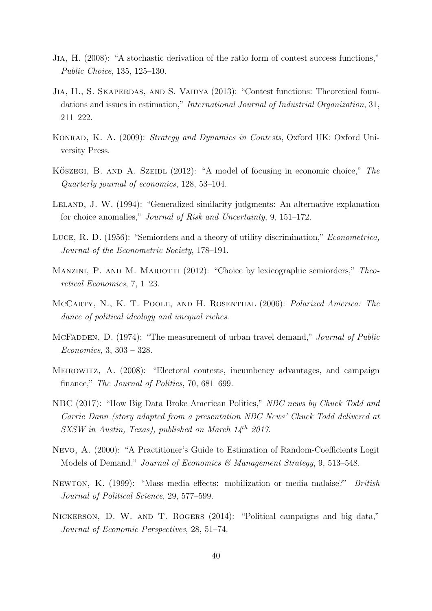- <span id="page-39-12"></span>Jia, H. (2008): "A stochastic derivation of the ratio form of contest success functions," Public Choice, 135, 125–130.
- <span id="page-39-13"></span>JIA, H., S. SKAPERDAS, AND S. VAIDYA (2013): "Contest functions: Theoretical foundations and issues in estimation," International Journal of Industrial Organization, 31, 211–222.
- <span id="page-39-8"></span>KONRAD, K. A. (2009): *Strategy and Dynamics in Contests*, Oxford UK: Oxford University Press.
- <span id="page-39-6"></span>KÖSZEGI, B. AND A. SZEIDL  $(2012)$ : "A model of focusing in economic choice," The Quarterly journal of economics, 128, 53–104.
- <span id="page-39-3"></span>LELAND, J. W. (1994): "Generalized similarity judgments: An alternative explanation for choice anomalies," Journal of Risk and Uncertainty, 9, 151–172.
- <span id="page-39-2"></span>Luce, R. D. (1956): "Semiorders and a theory of utility discrimination," Econometrica, Journal of the Econometric Society, 178–191.
- <span id="page-39-4"></span>MANZINI, P. AND M. MARIOTTI (2012): "Choice by lexicographic semiorders," Theoretical Economics, 7, 1–23.
- <span id="page-39-0"></span>McCarty, N., K. T. Poole, and H. Rosenthal (2006): Polarized America: The dance of political ideology and unequal riches.
- <span id="page-39-11"></span>MCFADDEN, D. (1974): "The measurement of urban travel demand," *Journal of Public* Economics, 3, 303 – 328.
- <span id="page-39-7"></span>Meirowitz, A. (2008): "Electoral contests, incumbency advantages, and campaign finance," The Journal of Politics, 70, 681–699.
- <span id="page-39-9"></span>NBC (2017): "How Big Data Broke American Politics," NBC news by Chuck Todd and Carrie Dann (story adapted from a presentation NBC News' Chuck Todd delivered at SXSW in Austin, Texas), published on March  $14^{th}$  2017.
- <span id="page-39-10"></span>Nevo, A. (2000): "A Practitioner's Guide to Estimation of Random-Coefficients Logit Models of Demand," Journal of Economics & Management Strategy, 9, 513-548.
- <span id="page-39-5"></span>Newton, K. (1999): "Mass media effects: mobilization or media malaise?" British Journal of Political Science, 29, 577–599.
- <span id="page-39-1"></span>Nickerson, D. W. and T. Rogers (2014): "Political campaigns and big data," Journal of Economic Perspectives, 28, 51–74.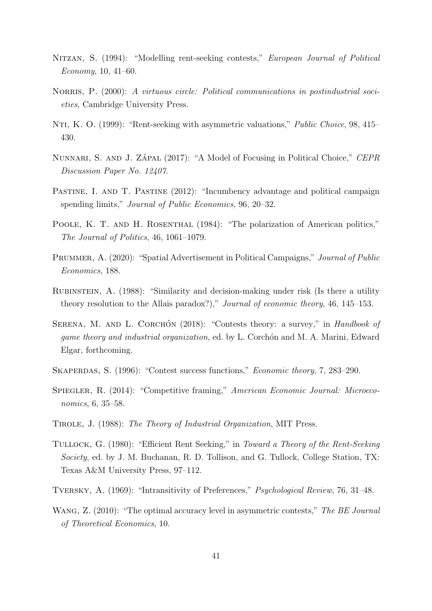- <span id="page-40-9"></span>Nitzan, S. (1994): "Modelling rent-seeking contests," European Journal of Political Economy, 10, 41–60.
- <span id="page-40-4"></span>NORRIS, P. (2000): A virtuous circle: Political communications in postindustrial societies, Cambridge University Press.
- <span id="page-40-13"></span>NTI, K. O. (1999): "Rent-seeking with asymmetric valuations," *Public Choice*, 98, 415– 430.
- <span id="page-40-7"></span>NUNNARI, S. AND J. ZÁPAL (2017): "A Model of Focusing in Political Choice," CEPR Discussion Paper No. 12407.
- <span id="page-40-8"></span>PASTINE, I. AND T. PASTINE (2012): "Incumbency advantage and political campaign spending limits," *Journal of Public Economics*, 96, 20–32.
- <span id="page-40-1"></span>POOLE, K. T. AND H. ROSENTHAL (1984): "The polarization of American politics," The Journal of Politics, 46, 1061–1079.
- <span id="page-40-5"></span>PRUMMER, A. (2020): "Spatial Advertisement in Political Campaigns," *Journal of Public* Economics, 188.
- <span id="page-40-3"></span>Rubinstein, A. (1988): "Similarity and decision-making under risk (Is there a utility theory resolution to the Allais paradox?)," Journal of economic theory, 46, 145–153.
- <span id="page-40-10"></span>SERENA, M. AND L. CORCHÓN (2018): "Contests theory: a survey," in Handbook of game theory and industrial organization, ed. by L. Corchon and M. A. Marini, Edward Elgar, forthcoming.
- <span id="page-40-11"></span>SKAPERDAS, S. (1996): "Contest success functions," *Economic theory*, 7, 283–290.
- <span id="page-40-6"></span>Spiegler, R. (2014): "Competitive framing," American Economic Journal: Microeconomics, 6, 35–58.
- <span id="page-40-12"></span>Tirole, J. (1988): The Theory of Industrial Organization, MIT Press.
- <span id="page-40-0"></span>TULLOCK, G. (1980): "Efficient Rent Seeking," in Toward a Theory of the Rent-Seeking Society, ed. by J. M. Buchanan, R. D. Tollison, and G. Tullock, College Station, TX: Texas A&M University Press, 97–112.
- <span id="page-40-2"></span>Tversky, A. (1969): "Intransitivity of Preferences," Psychological Review, 76, 31–48.
- <span id="page-40-14"></span>WANG, Z. (2010): "The optimal accuracy level in asymmetric contests," The BE Journal of Theoretical Economics, 10.